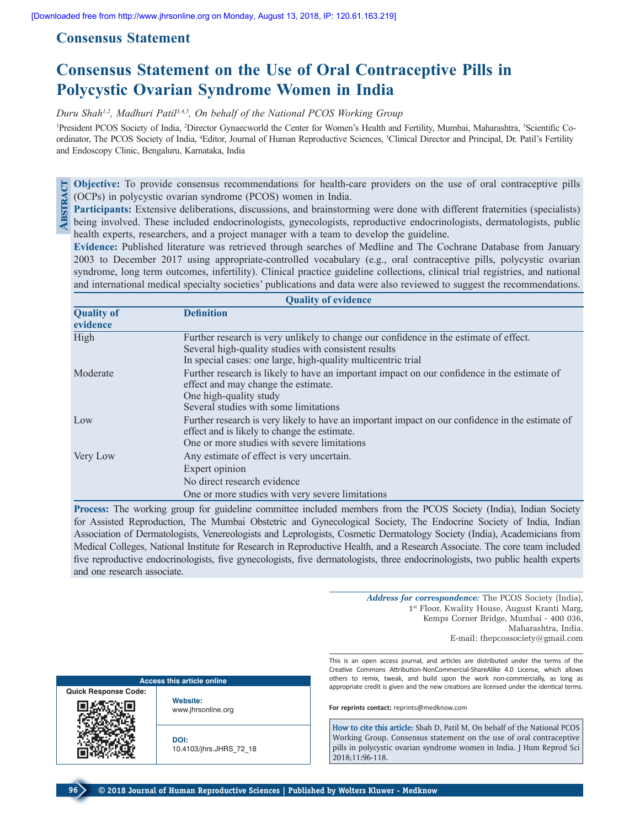# **Consensus Statement**

# **Consensus Statement on the Use of Oral Contraceptive Pills in Polycystic Ovarian Syndrome Women in India**

*Duru Shah1,2, Madhuri Patil3,4,5, On behalf of the National PCOS Working Group*

<sup>1</sup>President PCOS Society of India, <sup>2</sup>Director Gynaecworld the Center for Women's Health and Fertility, Mumbai, Maharashtra, <sup>3</sup>Scientific Coordinator, The PCOS Society of India, <sup>4</sup>Editor, Journal of Human Reproductive Sciences, <sup>5</sup>Clinical Director and Principal, Dr. Patil's Fertility and Endoscopy Clinic, Bengaluru, Karnataka, India

**Objective:** To provide consensus recommendations for health-care providers on the use of oral contraceptive pills (OCPs) in polycystic ovarian syndrome (PCOS) women in India. **Abstract**

**Participants:** Extensive deliberations, discussions, and brainstorming were done with different fraternities (specialists) **E** being involved. These included endocrinologists, gynecologists, reproductive endocrinologists, dermatologists, public health experts, researchers, and a project manager with a team to develop the guideline.

**Evidence:** Published literature was retrieved through searches of Medline and The Cochrane Database from January 2003 to December 2017 using appropriate‑controlled vocabulary (e.g., oral contraceptive pills, polycystic ovarian syndrome, long term outcomes, infertility). Clinical practice guideline collections, clinical trial registries, and national and international medical specialty societies' publications and data were also reviewed to suggest the recommendations.

| <b>Quality of evidence</b>    |                                                                                                                                                                                                               |  |  |  |
|-------------------------------|---------------------------------------------------------------------------------------------------------------------------------------------------------------------------------------------------------------|--|--|--|
| <b>Quality of</b><br>evidence | <b>Definition</b>                                                                                                                                                                                             |  |  |  |
| High                          | Further research is very unlikely to change our confidence in the estimate of effect.<br>Several high-quality studies with consistent results<br>In special cases: one large, high-quality multicentric trial |  |  |  |
| Moderate                      | Further research is likely to have an important impact on our confidence in the estimate of<br>effect and may change the estimate.<br>One high-quality study<br>Several studies with some limitations         |  |  |  |
| Low                           | Further research is very likely to have an important impact on our confidence in the estimate of<br>effect and is likely to change the estimate.<br>One or more studies with severe limitations               |  |  |  |
| Very Low                      | Any estimate of effect is very uncertain.<br>Expert opinion<br>No direct research evidence<br>One or more studies with very severe limitations                                                                |  |  |  |
|                               |                                                                                                                                                                                                               |  |  |  |

**Process:** The working group for guideline committee included members from the PCOS Society (India), Indian Society for Assisted Reproduction, The Mumbai Obstetric and Gynecological Society, The Endocrine Society of India, Indian Association of Dermatologists, Venereologists and Leprologists, Cosmetic Dermatology Society (India), Academicians from Medical Colleges, National Institute for Research in Reproductive Health, and a Research Associate. The core team included five reproductive endocrinologists, five gynecologists, five dermatologists, three endocrinologists, two public health experts and one research associate.

> *Address for correspondence:* The PCOS Society (India), 1<sup>st</sup> Floor, Kwality House, August Kranti Marg, Kemps Corner Bridge, Mumbai ‑ 400 036, Maharashtra, India. E‑mail: thepcossociety@gmail.com

This is an open access journal, and articles are distributed under the terms of the Creative Commons Attribution‑NonCommercial‑ShareAlike 4.0 License, which allows others to remix, tweak, and build upon the work non‑commercially, as long as appropriate credit is given and the new creations are licensed under the identical terms.

**For reprints contact:** reprints@medknow.com

**How to cite this article:** Shah D, Patil M, On behalf of the National PCOS Working Group. Consensus statement on the use of oral contraceptive pills in polycystic ovarian syndrome women in India. J Hum Reprod Sci 2018;11:96-118.



**Website:**

**Access this article online**

www.jhrsonline.org

**DOI:** 10.4103/jhrs.JHRS\_72\_18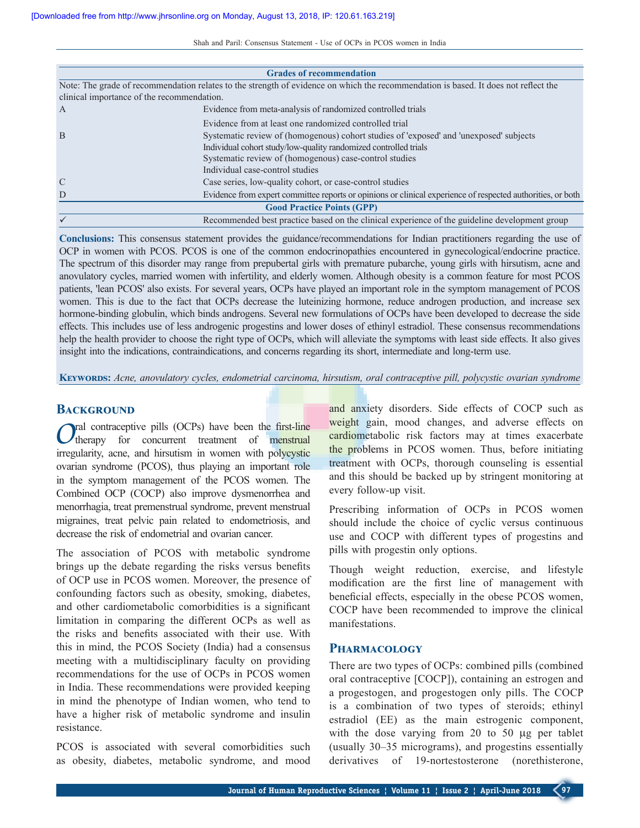|                                                                                           | <b>Grades of recommendation</b>                                                                                                                                                   |  |  |  |  |
|-------------------------------------------------------------------------------------------|-----------------------------------------------------------------------------------------------------------------------------------------------------------------------------------|--|--|--|--|
|                                                                                           | Note: The grade of recommendation relates to the strength of evidence on which the recommendation is based. It does not reflect the<br>clinical importance of the recommendation. |  |  |  |  |
| $\mathbf{A}$                                                                              | Evidence from meta-analysis of randomized controlled trials                                                                                                                       |  |  |  |  |
|                                                                                           | Evidence from at least one randomized controlled trial                                                                                                                            |  |  |  |  |
| B                                                                                         | Systematic review of (homogenous) cohort studies of 'exposed' and 'unexposed' subjects<br>Individual cohort study/low-quality randomized controlled trials                        |  |  |  |  |
| Systematic review of (homogenous) case-control studies<br>Individual case-control studies |                                                                                                                                                                                   |  |  |  |  |
| $\mathcal{C}$                                                                             | Case series, low-quality cohort, or case-control studies                                                                                                                          |  |  |  |  |
| D                                                                                         | Evidence from expert committee reports or opinions or clinical experience of respected authorities, or both                                                                       |  |  |  |  |
|                                                                                           | <b>Good Practice Points (GPP)</b>                                                                                                                                                 |  |  |  |  |
|                                                                                           | Recommended best practice based on the clinical experience of the guideline development group                                                                                     |  |  |  |  |

**Conclusions:** This consensus statement provides the guidance/recommendations for Indian practitioners regarding the use of OCP in women with PCOS. PCOS is one of the common endocrinopathies encountered in gynecological/endocrine practice. The spectrum of this disorder may range from prepubertal girls with premature pubarche, young girls with hirsutism, acne and anovulatory cycles, married women with infertility, and elderly women. Although obesity is a common feature for most PCOS patients, 'lean PCOS' also exists. For several years, OCPs have played an important role in the symptom management of PCOS women. This is due to the fact that OCPs decrease the luteinizing hormone, reduce androgen production, and increase sex hormone-binding globulin, which binds androgens. Several new formulations of OCPs have been developed to decrease the side effects. This includes use of less androgenic progestins and lower doses of ethinyl estradiol. These consensus recommendations help the health provider to choose the right type of OCPs, which will alleviate the symptoms with least side effects. It also gives insight into the indications, contraindications, and concerns regarding its short, intermediate and long-term use.

**Keywords:** *Acne, anovulatory cycles, endometrial carcinoma, hirsutism, oral contraceptive pill, polycystic ovarian syndrome*

# **BACKGROUND**

*Oral* contraceptive pills (OCPs) have been the first-line therapy for concurrent treatment of menstrual irregularity, acne, and hirsutism in women with polycystic ovarian syndrome (PCOS), thus playing an important role in the symptom management of the PCOS women. The Combined OCP (COCP) also improve dysmenorrhea and menorrhagia, treat premenstrual syndrome, prevent menstrual migraines, treat pelvic pain related to endometriosis, and decrease the risk of endometrial and ovarian cancer.

The association of PCOS with metabolic syndrome brings up the debate regarding the risks versus benefits of OCP use in PCOS women. Moreover, the presence of confounding factors such as obesity, smoking, diabetes, and other cardiometabolic comorbidities is a significant limitation in comparing the different OCPs as well as the risks and benefits associated with their use. With this in mind, the PCOS Society (India) had a consensus meeting with a multidisciplinary faculty on providing recommendations for the use of OCPs in PCOS women in India. These recommendations were provided keeping in mind the phenotype of Indian women, who tend to have a higher risk of metabolic syndrome and insulin resistance.

PCOS is associated with several comorbidities such as obesity, diabetes, metabolic syndrome, and mood and anxiety disorders. Side effects of COCP such as weight gain, mood changes, and adverse effects on cardiometabolic risk factors may at times exacerbate the problems in PCOS women. Thus, before initiating treatment with OCPs, thorough counseling is essential and this should be backed up by stringent monitoring at every follow‑up visit.

Prescribing information of OCPs in PCOS women should include the choice of cyclic versus continuous use and COCP with different types of progestins and pills with progestin only options.

Though weight reduction, exercise, and lifestyle modification are the first line of management with beneficial effects, especially in the obese PCOS women, COCP have been recommended to improve the clinical manifestations.

## **Pharmacology**

There are two types of OCPs: combined pills (combined oral contraceptive [COCP]), containing an estrogen and a progestogen, and progestogen only pills. The COCP is a combination of two types of steroids; ethinyl estradiol (EE) as the main estrogenic component, with the dose varying from 20 to 50 µg per tablet (usually 30–35 micrograms), and progestins essentially derivatives of 19-nortestosterone (norethisterone,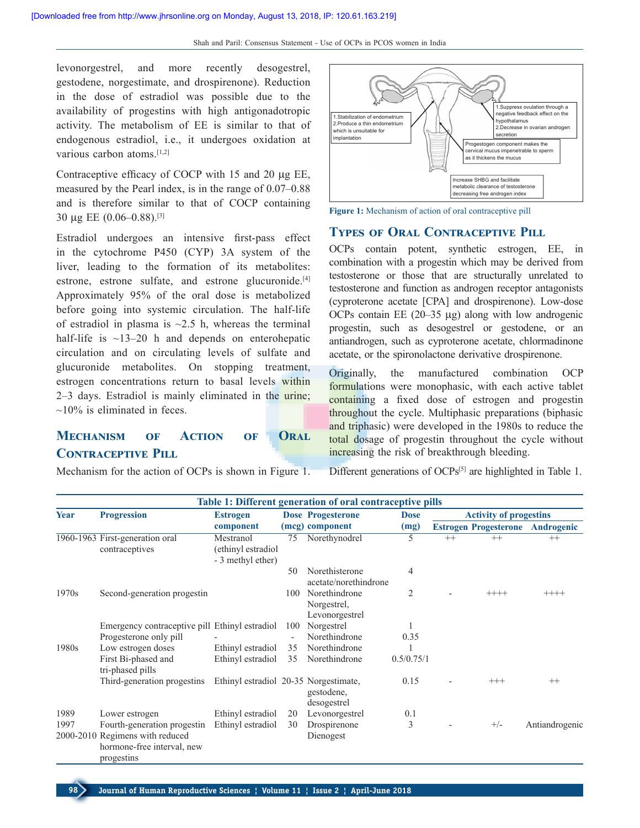levonorgestrel, and more recently desogestrel, gestodene, norgestimate, and drospirenone). Reduction in the dose of estradiol was possible due to the availability of progestins with high antigonadotropic activity. The metabolism of EE is similar to that of endogenous estradiol, i.e., it undergoes oxidation at various carbon atoms.<sup>[1,2]</sup>

Contraceptive efficacy of COCP with 15 and 20 μg EE, measured by the Pearl index, is in the range of 0.07–0.88 and is therefore similar to that of COCP containing 30 μg EE (0.06–0.88).[3]

Estradiol undergoes an intensive first-pass effect in the cytochrome P450 (CYP) 3A system of the liver, leading to the formation of its metabolites: estrone, estrone sulfate, and estrone glucuronide.<sup>[4]</sup> Approximately 95% of the oral dose is metabolized before going into systemic circulation. The half-life of estradiol in plasma is  $\sim$ 2.5 h, whereas the terminal half-life is  $\sim$ 13–20 h and depends on enterohepatic circulation and on circulating levels of sulfate and glucuronide metabolites. On stopping treatment, estrogen concentrations return to basal levels within 2–3 days. Estradiol is mainly eliminated in the urine;  $\sim$ 10% is eliminated in feces.

# **Mechanism of Action of Oral Contraceptive Pill**

Mechanism for the action of OCPs is shown in Figure 1.





# **TYPES OF ORAL CONTRACEPTIVE PILL**

OCPs contain potent, synthetic estrogen, EE, in combination with a progestin which may be derived from testosterone or those that are structurally unrelated to testosterone and function as androgen receptor antagonists (cyproterone acetate [CPA] and drospirenone). Low‑dose OCPs contain EE (20–35 μg) along with low androgenic progestin, such as desogestrel or gestodene, or an antiandrogen, such as cyproterone acetate, chlormadinone acetate, or the spironolactone derivative drospirenone.

Originally, the manufactured combination OCP formulations were monophasic, with each active tablet containing a fixed dose of estrogen and progestin throughout the cycle. Multiphasic preparations (biphasic and triphasic) were developed in the 1980s to reduce the total dosage of progestin throughout the cycle without increasing the risk of breakthrough bleeding.

Different generations of OCPs<sup>[5]</sup> are highlighted in Table 1.

|                   | Table 1: Different generation of oral contraceptive pills                                                  |                                                      |          |                                                |                |         |                               |                |
|-------------------|------------------------------------------------------------------------------------------------------------|------------------------------------------------------|----------|------------------------------------------------|----------------|---------|-------------------------------|----------------|
| Year              | <b>Progression</b>                                                                                         | <b>Estrogen</b>                                      |          | <b>Dose Progesterone</b>                       | <b>Dose</b>    |         | <b>Activity of progestins</b> |                |
|                   |                                                                                                            | component                                            |          | (mcg) component                                | (mg)           |         | <b>Estrogen Progesterone</b>  | Androgenic     |
|                   | 1960-1963 First-generation oral<br>contraceptives                                                          | Mestranol<br>(ethinyl estradiol<br>- 3 methyl ether) | 75       | Norethynodrel                                  | 5              | $^{++}$ | $^{++}$                       | $^{++}$        |
|                   |                                                                                                            |                                                      | 50       | Norethisterone<br>acetate/norethindrone        | 4              |         |                               |                |
| 1970 <sub>s</sub> | Second-generation progestin                                                                                |                                                      | 100      | Norethindrone<br>Norgestrel,<br>Levonorgestrel | $\overline{2}$ |         | $++++-$                       |                |
|                   | Emergency contraceptive pill Ethinyl estradiol<br>Progesterone only pill                                   |                                                      | 100      | Norgestrel<br>Norethindrone                    | 0.35           |         |                               |                |
| 1980s             | Low estrogen doses<br>First Bi-phased and<br>tri-phased pills                                              | Ethinyl estradiol<br>Ethinyl estradiol               | 35<br>35 | Norethindrone<br>Norethindrone                 | 0.5/0.75/1     |         |                               |                |
|                   | Third-generation progestins                                                                                | Ethinyl estradiol 20-35 Norgestimate,                |          | gestodene,<br>desogestrel                      | 0.15           |         | $^{+++}$                      | $^{++}$        |
| 1989              | Lower estrogen                                                                                             | Ethinyl estradiol                                    | 20       | Levonorgestrel                                 | 0.1            |         |                               |                |
| 1997              | Fourth-generation progestin<br>2000-2010 Regimens with reduced<br>hormone-free interval, new<br>progestins | Ethinyl estradiol                                    | 30       | Drospirenone<br>Dienogest                      | 3              |         | $+/-$                         | Antiandrogenic |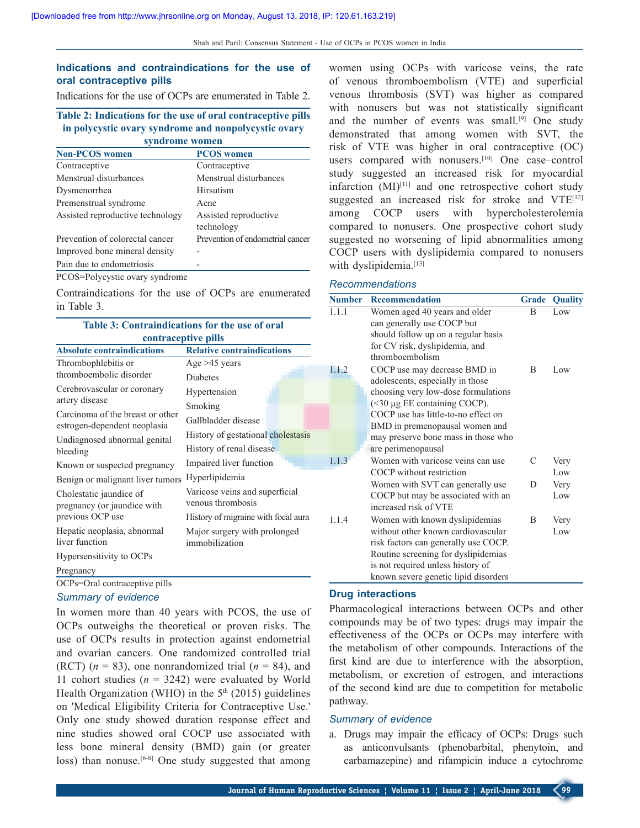# **Indications and contraindications for the use of oral contraceptive pills**

Indications for the use of OCPs are enumerated in Table 2.

#### **Table 2: Indications for the use of oral contraceptive pills in polycystic ovary syndrome and nonpolycystic ovary syndrome women**

| <b>Non-PCOS</b> women            | <b>PCOS</b> women                   |
|----------------------------------|-------------------------------------|
| Contraceptive                    | Contraceptive                       |
| Menstrual disturbances           | Menstrual disturbances              |
| Dysmenorrhea                     | Hirsutism                           |
| Premenstrual syndrome            | Acne                                |
| Assisted reproductive technology | Assisted reproductive<br>technology |
| Prevention of colorectal cancer  | Prevention of endometrial cancer    |
| Improved bone mineral density    |                                     |
| Pain due to endometriosis        |                                     |
| PCOS=Polycystic ovary syndrome   |                                     |

Contraindications for the use of OCPs are enumerated in Table 3.

| <b>Table 3: Contraindications for the use of oral</b>            |                                                     |     |  |  |
|------------------------------------------------------------------|-----------------------------------------------------|-----|--|--|
|                                                                  | contraceptive pills                                 |     |  |  |
| <b>Absolute contraindications</b>                                | <b>Relative contraindications</b>                   |     |  |  |
| Thrombophlebitis or                                              | Age $>45$ years                                     | 1.  |  |  |
| thromboembolic disorder                                          | <b>Diabetes</b>                                     |     |  |  |
| Cerebrovascular or coronary                                      | Hypertension                                        |     |  |  |
| artery disease                                                   | Smoking                                             |     |  |  |
| Carcinoma of the breast or other<br>estrogen-dependent neoplasia | Gallbladder disease                                 |     |  |  |
| Undiagnosed abnormal genital                                     | History of gestational cholestasis                  |     |  |  |
| bleeding                                                         | History of renal disease                            |     |  |  |
| Known or suspected pregnancy                                     | Impaired liver function                             | 1.1 |  |  |
| Benign or malignant liver tumors                                 | Hyperlipidemia                                      |     |  |  |
| Cholestatic jaundice of<br>pregnancy (or jaundice with           | Varicose veins and superficial<br>venous thrombosis |     |  |  |
| previous OCP use                                                 | History of migraine with focal aura                 | 1.1 |  |  |
| Hepatic neoplasia, abnormal<br>liver function                    | Major surgery with prolonged<br>immobilization      |     |  |  |
| Hypersensitivity to OCPs                                         |                                                     |     |  |  |
| Pregnancy                                                        |                                                     |     |  |  |
| OCPs=Oral contraceptive pills                                    |                                                     |     |  |  |

## *Summary of evidence*

In women more than 40 years with PCOS, the use of OCPs outweighs the theoretical or proven risks. The use of OCPs results in protection against endometrial and ovarian cancers. One randomized controlled trial (RCT)  $(n = 83)$ , one nonrandomized trial  $(n = 84)$ , and 11 cohort studies  $(n = 3242)$  were evaluated by World Health Organization (WHO) in the  $5<sup>th</sup>$  (2015) guidelines on 'Medical Eligibility Criteria for Contraceptive Use.' Only one study showed duration response effect and nine studies showed oral COCP use associated with less bone mineral density (BMD) gain (or greater loss) than nonuse.<sup>[6-8]</sup> One study suggested that among women using OCPs with varicose veins, the rate of venous thromboembolism (VTE) and superficial venous thrombosis (SVT) was higher as compared with nonusers but was not statistically significant and the number of events was small.[9] One study demonstrated that among women with SVT, the risk of VTE was higher in oral contraceptive (OC) users compared with nonusers.<sup>[10]</sup> One case–control study suggested an increased risk for myocardial infarction (MI)[11] and one retrospective cohort study suggested an increased risk for stroke and VTE<sup>[12]</sup> among COCP users with hypercholesterolemia compared to nonusers. One prospective cohort study suggested no worsening of lipid abnormalities among COCP users with dyslipidemia compared to nonusers with dyslipidemia.<sup>[13]</sup>

#### *Recommendations*

| <b>Number</b> | <b>Recommendation</b>                                                                                                                                                                                                                                                         | <b>Grade</b> | <b>Quality</b> |
|---------------|-------------------------------------------------------------------------------------------------------------------------------------------------------------------------------------------------------------------------------------------------------------------------------|--------------|----------------|
| 1.1.1         | Women aged 40 years and older<br>can generally use COCP but<br>should follow up on a regular basis<br>for CV risk, dyslipidemia, and<br>thromboembolism                                                                                                                       | B            | Low            |
| 1.1.2         | COCP use may decrease BMD in<br>adolescents, especially in those<br>choosing very low-dose formulations<br>(<30 µg EE containing COCP).<br>COCP use has little-to-no effect on<br>BMD in premenopausal women and<br>may preserve bone mass in those who<br>are perimenopausal | B            | Low            |
| 1.1.3         | Women with varicose veins can use<br>COCP without restriction                                                                                                                                                                                                                 | C            | Very<br>Low    |
|               | Women with SVT can generally use<br>COCP but may be associated with an<br>increased risk of VTE                                                                                                                                                                               | D            | Very<br>Low    |
| 1.1.4         | Women with known dyslipidemias<br>without other known cardiovascular<br>risk factors can generally use COCP.<br>Routine screening for dyslipidemias<br>is not required unless history of<br>known severe genetic lipid disorders                                              | B            | Very<br>Low    |

#### **Drug interactions**

Pharmacological interactions between OCPs and other compounds may be of two types: drugs may impair the effectiveness of the OCPs or OCPs may interfere with the metabolism of other compounds. Interactions of the first kind are due to interference with the absorption, metabolism, or excretion of estrogen, and interactions of the second kind are due to competition for metabolic pathway.

#### *Summary of evidence*

a. Drugs may impair the efficacy of OCPs: Drugs such as anticonvulsants (phenobarbital, phenytoin, and carbamazepine) and rifampicin induce a cytochrome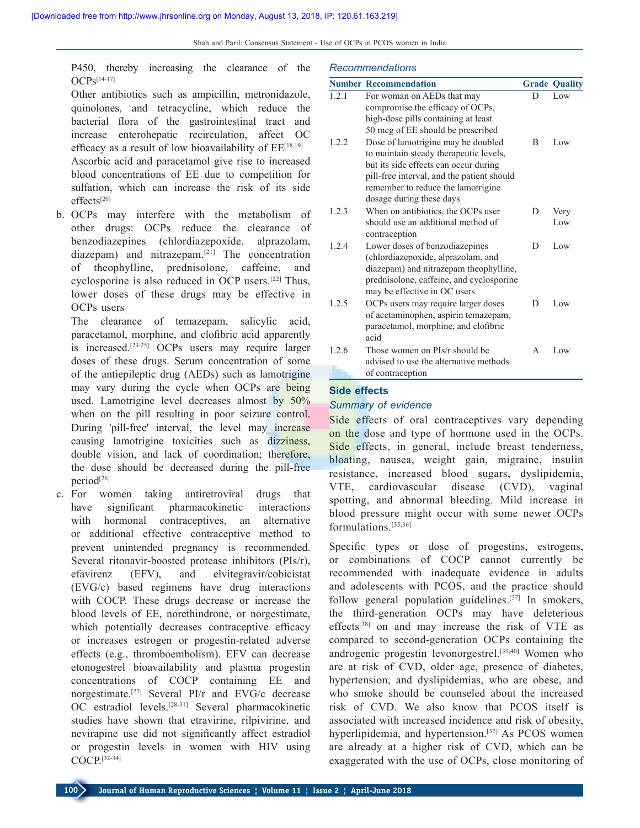P450, thereby increasing the clearance of the  $OCPS^{[14-17]}$ 

Other antibiotics such as ampicillin, metronidazole, quinolones, and tetracycline, which reduce the bacterial flora of the gastrointestinal tract and increase enterohepatic recirculation, affect OC efficacy as a result of low bioavailability of  $EE^{[18,19]}$ Ascorbic acid and paracetamol give rise to increased blood concentrations of EE due to competition for sulfation, which can increase the risk of its side effects[20]

b. OCPs may interfere with the metabolism of other drugs: OCPs reduce the clearance of benzodiazepines (chlordiazepoxide, alprazolam, diazepam) and nitrazepam.[21] The concentration of theophylline, prednisolone, caffeine, and cyclosporine is also reduced in OCP users.[22] Thus, lower doses of these drugs may be effective in OCPs users

The clearance of temazepam, salicylic acid, paracetamol, morphine, and clofibric acid apparently is increased.[23‑25] OCPs users may require larger doses of these drugs. Serum concentration of some of the antiepileptic drug (AEDs) such as lamotrigine may vary during the cycle when OCPs are being used. Lamotrigine level decreases almost by 50% when on the pill resulting in poor seizure control. During 'pill-free' interval, the level may increase causing lamotrigine toxicities such as dizziness, double vision, and lack of coordination; therefore, the dose should be decreased during the pill-free period<sup>[26]</sup>

c. For women taking antiretroviral drugs that have significant pharmacokinetic interactions with hormonal contraceptives, an alternative or additional effective contraceptive method to prevent unintended pregnancy is recommended. Several ritonavir-boosted protease inhibitors (PIs/r), efavirenz (EFV), and elvitegravir/cobicistat (EVG/c) based regimens have drug interactions with COCP. These drugs decrease or increase the blood levels of EE, norethindrone, or norgestimate, which potentially decreases contraceptive efficacy or increases estrogen or progestin‑related adverse effects (e.g., thromboembolism). EFV can decrease etonogestrel bioavailability and plasma progestin concentrations of COCP containing EE and norgestimate.[27] Several PI/r and EVG/c decrease OC estradiol levels.<sup>[28-31]</sup> Several pharmacokinetic studies have shown that etravirine, rilpivirine, and nevirapine use did not significantly affect estradiol or progestin levels in women with HIV using COCP.[32‑34]

#### *Recommendations*

|       | <b>Number Recommendation</b>               |   | <b>Grade Quality</b> |
|-------|--------------------------------------------|---|----------------------|
| 1.2.1 | For woman on AEDs that may                 | D | Low                  |
|       | compromise the efficacy of OCPs,           |   |                      |
|       | high-dose pills containing at least        |   |                      |
|       | 50 mcg of EE should be prescribed          |   |                      |
| 1.2.2 | Dose of lamotrigine may be doubled         | B | Low                  |
|       | to maintain steady therapeutic levels,     |   |                      |
|       | but its side effects can occur during      |   |                      |
|       | pill-free interval, and the patient should |   |                      |
|       | remember to reduce the lamotrigine         |   |                      |
|       | dosage during these days                   |   |                      |
| 1.2.3 | When on antibiotics, the OCPs user         | D | Very                 |
|       | should use an additional method of         |   | Low                  |
|       | contraception                              |   |                      |
| 12.4  | Lower doses of benzodiazepines             | D | Low                  |
|       | (chlordiazepoxide, alprazolam, and         |   |                      |
|       | diazepam) and nitrazepam theophylline,     |   |                      |
|       | prednisolone, caffeine, and cyclosporine   |   |                      |
|       | may be effective in OC users               |   |                      |
| 1.2.5 | OCPs users may require larger doses        | D | Low                  |
|       | of acetaminophen, aspirin temazepam,       |   |                      |
|       | paracetamol, morphine, and clofibric       |   |                      |
|       | acid                                       |   |                      |
| 1.2.6 | Those women on PIs/r should be             | A | Low                  |
|       | advised to use the alternative methods     |   |                      |
|       | of contraception                           |   |                      |

#### **Side effects**

#### *Summary of evidence*

Side effects of oral contraceptives vary depending on the dose and type of hormone used in the OCPs. Side effects, in general, include breast tenderness, bloating, nausea, weight gain, migraine, insulin resistance, increased blood sugars, dyslipidemia, VTE, cardiovascular disease (CVD), vaginal spotting, and abnormal bleeding. Mild increase in blood pressure might occur with some newer OCPs formulations.[35,36]

Specific types or dose of progestins, estrogens, or combinations of COCP cannot currently be recommended with inadequate evidence in adults and adolescents with PCOS, and the practice should follow general population guidelines.<sup>[37]</sup> In smokers, the third‑generation OCPs may have deleterious effects[38] on and may increase the risk of VTE as compared to second‑generation OCPs containing the androgenic progestin levonorgestrel.[39,40] Women who are at risk of CVD, older age, presence of diabetes, hypertension, and dyslipidemias, who are obese, and who smoke should be counseled about the increased risk of CVD. We also know that PCOS itself is associated with increased incidence and risk of obesity, hyperlipidemia, and hypertension.<sup>[37]</sup> As PCOS women are already at a higher risk of CVD, which can be exaggerated with the use of OCPs, close monitoring of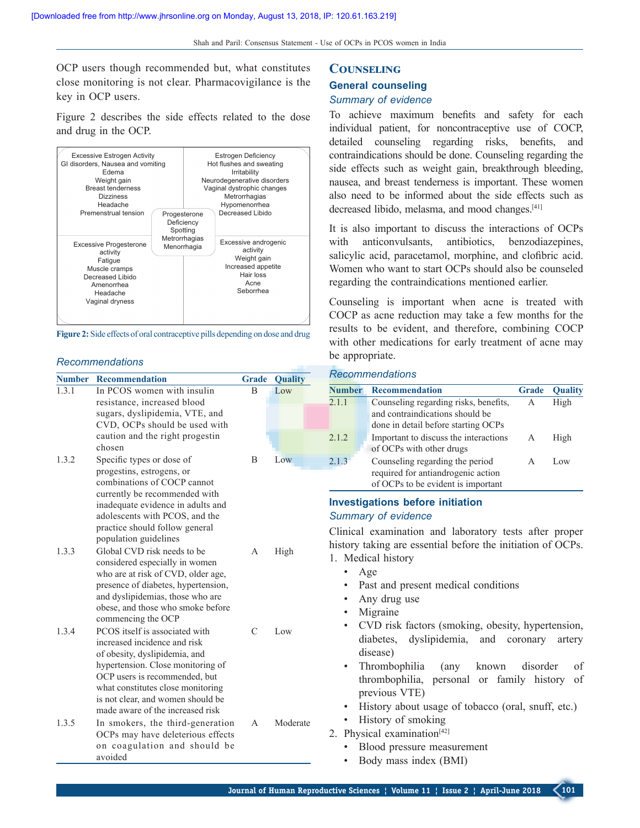OCP users though recommended but, what constitutes close monitoring is not clear. Pharmacovigilance is the key in OCP users.

Figure 2 describes the side effects related to the dose and drug in the OCP.



**Figure 2:** Side effects of oral contraceptive pills depending on dose and drug

#### *Recommendations*

| <b>Number</b> | <b>Recommendation</b>                                                                                                                                                                                                                                                               | <b>Grade</b>  | <b>Quality</b> | Re                       |
|---------------|-------------------------------------------------------------------------------------------------------------------------------------------------------------------------------------------------------------------------------------------------------------------------------------|---------------|----------------|--------------------------|
| 1.3.1         | In PCOS women with insulin<br>resistance, increased blood<br>sugars, dyslipidemia, VTE, and<br>CVD, OCPs should be used with                                                                                                                                                        | B             | Low            | Nui<br>2.1.              |
|               | caution and the right progestin<br>chosen                                                                                                                                                                                                                                           |               |                | 2.1.                     |
| 1.3.2         | Specific types or dose of<br>progestins, estrogens, or<br>combinations of COCP cannot<br>currently be recommended with<br>inadequate evidence in adults and<br>adolescents with PCOS, and the<br>practice should follow general<br>population guidelines                            | B             | Low            | 2.1.<br>Inv<br>Su<br>Cli |
| 1.3.3         | Global CVD risk needs to be<br>considered especially in women<br>who are at risk of CVD, older age,<br>presence of diabetes, hypertension,<br>and dyslipidemias, those who are<br>obese, and those who smoke before<br>commencing the OCP                                           | A             | High           | his<br>$1_{-}$           |
| 1.3.4         | PCOS itself is associated with<br>increased incidence and risk<br>of obesity, dyslipidemia, and<br>hypertension. Close monitoring of<br>OCP users is recommended, but<br>what constitutes close monitoring<br>is not clear, and women should be<br>made aware of the increased risk | $\mathcal{C}$ | Low            |                          |
| 1.3.5         | In smokers, the third-generation<br>OCPs may have deleterious effects<br>on coagulation and should be<br>avoided                                                                                                                                                                    | A             | Moderate       | 2.                       |

## **Counseling**

# **General counseling**

# *Summary of evidence*

To achieve maximum benefits and safety for each individual patient, for noncontraceptive use of COCP, detailed counseling regarding risks, benefits, and contraindications should be done. Counseling regarding the side effects such as weight gain, breakthrough bleeding, nausea, and breast tenderness is important. These women also need to be informed about the side effects such as decreased libido, melasma, and mood changes.[41]

It is also important to discuss the interactions of OCPs with anticonvulsants, antibiotics, benzodiazepines, salicylic acid, paracetamol, morphine, and clofibric acid. Women who want to start OCPs should also be counseled regarding the contraindications mentioned earlier.

Counseling is important when acne is treated with COCP as acne reduction may take a few months for the results to be evident, and therefore, combining COCP with other medications for early treatment of acne may be appropriate.

#### *Recommendations*

| <b>Number</b> | <b>Recommendation</b>                                                                                           | <b>Grade</b> | <b>Ouality</b> |
|---------------|-----------------------------------------------------------------------------------------------------------------|--------------|----------------|
| 2.1.1         | Counseling regarding risks, benefits,<br>and contraindications should be<br>done in detail before starting OCPs | A            | High           |
| 2.1.2         | Important to discuss the interactions<br>of OCPs with other drugs                                               | A            | High           |
| 2.1.3         | Counseling regarding the period<br>required for antiandrogenic action<br>of OCPs to be evident is important     |              | Low            |

### **Investigations before initiation** mmary of evidence

nical examination and laboratory tests after proper tory taking are essential before the initiation of OCPs.

- Medical history
	- Age
- Past and present medical conditions
- Any drug use
- **Migraine**
- CVD risk factors (smoking, obesity, hypertension, diabetes, dyslipidemia, and coronary artery disease)
- Thrombophilia (any known disorder of thrombophilia, personal or family history of previous VTE)
- History about usage of tobacco (oral, snuff, etc.)
- History of smoking
- Physical examination<sup>[42]</sup>
	- Blood pressure measurement
	- Body mass index (BMI)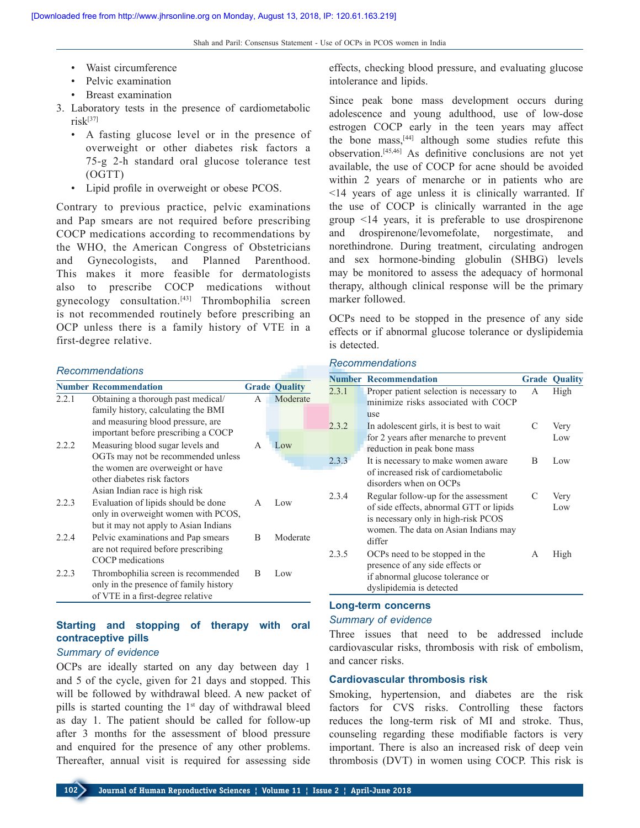- Waist circumference
- Pelvic examination
- Breast examination
- 3. Laboratory tests in the presence of cardiometabolic  $risk^{[37]}$ 
	- A fasting glucose level or in the presence of overweight or other diabetes risk factors a 75‑g 2‑h standard oral glucose tolerance test (OGTT)
	- Lipid profile in overweight or obese PCOS.

Contrary to previous practice, pelvic examinations and Pap smears are not required before prescribing COCP medications according to recommendations by the WHO, the American Congress of Obstetricians and Gynecologists, and Planned Parenthood. This makes it more feasible for dermatologists also to prescribe COCP medications without gynecology consultation.[43] Thrombophilia screen is not recommended routinely before prescribing an OCP unless there is a family history of VTE in a first‑degree relative.

#### *Recommendations*

|       | <b>Number Recommendation</b>                                                                                        |   | <b>Grade Quality</b> |
|-------|---------------------------------------------------------------------------------------------------------------------|---|----------------------|
| 2.2.1 | Obtaining a thorough past medical/                                                                                  | A | Moderate             |
|       | family history, calculating the BMI<br>and measuring blood pressure, are<br>important before prescribing a COCP     |   |                      |
| 2.2.2 | Measuring blood sugar levels and<br>OGTs may not be recommended unless                                              | A | Low                  |
|       | the women are overweight or have<br>other diabetes risk factors<br>Asian Indian race is high risk                   |   |                      |
| 2.2.3 | Evaluation of lipids should be done<br>only in overweight women with PCOS,<br>but it may not apply to Asian Indians | A | Low                  |
| 2.2.4 | Pelvic examinations and Pap smears<br>are not required before prescribing<br>COCP medications                       | B | Moderate             |
| 2.2.3 | Thrombophilia screen is recommended<br>only in the presence of family history<br>of VTE in a first-degree relative  | B | Low                  |

# **Starting and stopping of therapy with oral contraceptive pills**

## *Summary of evidence*

OCPs are ideally started on any day between day 1 and 5 of the cycle, given for 21 days and stopped. This will be followed by withdrawal bleed. A new packet of pills is started counting the  $1<sup>st</sup>$  day of withdrawal bleed as day 1. The patient should be called for follow‑up after 3 months for the assessment of blood pressure and enquired for the presence of any other problems. Thereafter, annual visit is required for assessing side

effects, checking blood pressure, and evaluating glucose intolerance and lipids.

Since peak bone mass development occurs during adolescence and young adulthood, use of low‑dose estrogen COCP early in the teen years may affect the bone mass, $[44]$  although some studies refute this observation.[45,46] As definitive conclusions are not yet available, the use of COCP for acne should be avoided within 2 years of menarche or in patients who are <14 years of age unless it is clinically warranted. If the use of COCP is clinically warranted in the age group <14 years, it is preferable to use drospirenone and drospirenone/levomefolate, norgestimate, and norethindrone. During treatment, circulating androgen and sex hormone‑binding globulin (SHBG) levels may be monitored to assess the adequacy of hormonal therapy, although clinical response will be the primary marker followed.

OCPs need to be stopped in the presence of any side effects or if abnormal glucose tolerance or dyslipidemia is detected.

## *Recommendations*

|       | <b>Number Recommendation</b>             |   | <b>Grade Quality</b> |
|-------|------------------------------------------|---|----------------------|
| 2.3.1 | Proper patient selection is necessary to | A | High                 |
|       | minimize risks associated with COCP      |   |                      |
|       | use                                      |   |                      |
| 2.3.2 | In adolescent girls, it is best to wait  | C | Very                 |
|       | for 2 years after menarche to prevent    |   | Low                  |
|       | reduction in peak bone mass              |   |                      |
| 2.3.3 | It is necessary to make women aware      | B | Low                  |
|       | of increased risk of cardiometabolic     |   |                      |
|       | disorders when on OCPs                   |   |                      |
| 2.3.4 | Regular follow-up for the assessment     | C | Very                 |
|       | of side effects, abnormal GTT or lipids  |   | Low                  |
|       | is necessary only in high-risk PCOS      |   |                      |
|       | women. The data on Asian Indians may     |   |                      |
|       | differ                                   |   |                      |
| 2.3.5 | OCPs need to be stopped in the           | А | High                 |
|       | presence of any side effects or          |   |                      |
|       | if abnormal glucose tolerance or         |   |                      |
|       | dyslipidemia is detected                 |   |                      |

#### **Long‑term concerns**

#### *Summary of evidence*

Three issues that need to be addressed include cardiovascular risks, thrombosis with risk of embolism, and cancer risks.

### **Cardiovascular thrombosis risk**

Smoking, hypertension, and diabetes are the risk factors for CVS risks. Controlling these factors reduces the long-term risk of MI and stroke. Thus, counseling regarding these modifiable factors is very important. There is also an increased risk of deep vein thrombosis (DVT) in women using COCP. This risk is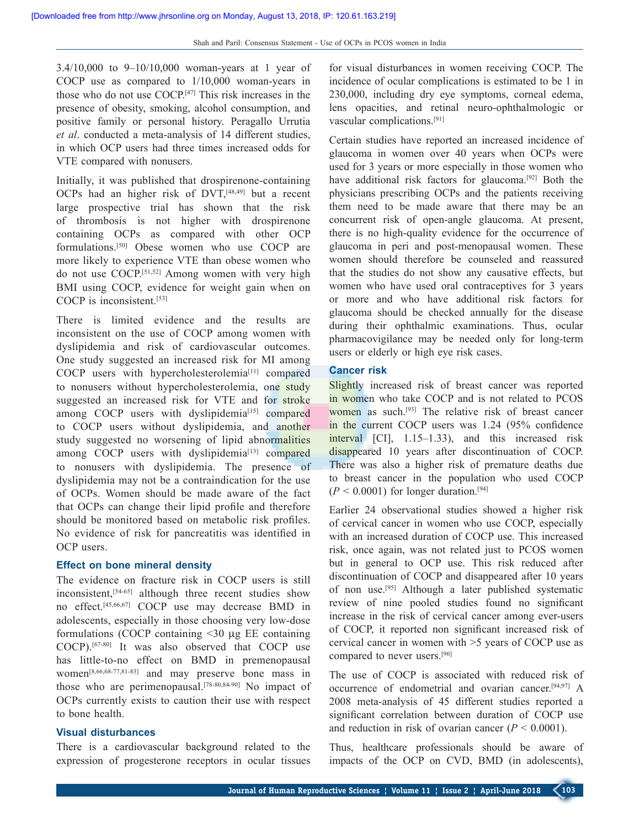$3.4/10,000$  to  $9-10/10,000$  woman-years at 1 year of COCP use as compared to 1/10,000 woman‑years in those who do not use COCP.[47] This risk increases in the presence of obesity, smoking, alcohol consumption, and positive family or personal history. Peragallo Urrutia *et al*. conducted a meta‑analysis of 14 different studies, in which OCP users had three times increased odds for VTE compared with nonusers.

Initially, it was published that drospirenone‑containing OCPs had an higher risk of DVT,<sup>[48,49]</sup> but a recent large prospective trial has shown that the risk of thrombosis is not higher with drospirenone containing OCPs as compared with other OCP formulations.[50] Obese women who use COCP are more likely to experience VTE than obese women who do not use COCP.[51,52] Among women with very high BMI using COCP, evidence for weight gain when on COCP is inconsistent.<sup>[53]</sup>

There is limited evidence and the results are inconsistent on the use of COCP among women with dyslipidemia and risk of cardiovascular outcomes. One study suggested an increased risk for MI among COCP users with hypercholesterolemia<sup>[11]</sup> compared to nonusers without hypercholesterolemia, one study suggested an increased risk for VTE and for stroke among COCP users with dyslipidemia<sup>[15]</sup> compared to COCP users without dyslipidemia, and another study suggested no worsening of lipid abnormalities among COCP users with dyslipidemia<sup>[13]</sup> compared to nonusers with dyslipidemia. The presence of dyslipidemia may not be a contraindication for the use of OCPs. Women should be made aware of the fact that OCPs can change their lipid profile and therefore should be monitored based on metabolic risk profiles. No evidence of risk for pancreatitis was identified in OCP users.

## **Effect on bone mineral density**

The evidence on fracture risk in COCP users is still inconsistent,<sup>[54-65]</sup> although three recent studies show no effect.[45,66,67] COCP use may decrease BMD in adolescents, especially in those choosing very low‑dose formulations (COCP containing <30 μg EE containing COCP).[67‑80] It was also observed that COCP use has little-to-no effect on BMD in premenopausal women<sup>[8,66,68-77,81-83]</sup> and may preserve bone mass in those who are perimenopausal.[78-80,84-90] No impact of OCPs currently exists to caution their use with respect to bone health.

## **Visual disturbances**

There is a cardiovascular background related to the expression of progesterone receptors in ocular tissues for visual disturbances in women receiving COCP. The incidence of ocular complications is estimated to be 1 in 230,000, including dry eye symptoms, corneal edema, lens opacities, and retinal neuro‑ophthalmologic or vascular complications.[91]

Certain studies have reported an increased incidence of glaucoma in women over 40 years when OCPs were used for 3 years or more especially in those women who have additional risk factors for glaucoma.<sup>[92]</sup> Both the physicians prescribing OCPs and the patients receiving them need to be made aware that there may be an concurrent risk of open-angle glaucoma. At present, there is no high-quality evidence for the occurrence of glaucoma in peri and post-menopausal women. These women should therefore be counseled and reassured that the studies do not show any causative effects, but women who have used oral contraceptives for 3 years or more and who have additional risk factors for glaucoma should be checked annually for the disease during their ophthalmic examinations. Thus, ocular pharmacovigilance may be needed only for long-term users or elderly or high eye risk cases.

## **Cancer risk**

Slightly increased risk of breast cancer was reported in women who take COCP and is not related to PCOS women as such.<sup>[93]</sup> The relative risk of breast cancer in the current COCP users was 1.24 (95% confidence interval [CI], 1.15–1.33), and this increased risk disappeared 10 years after discontinuation of COCP. There was also a higher risk of premature deaths due to breast cancer in the population who used COCP  $(P \le 0.0001)$  for longer duration.<sup>[94]</sup>

Earlier 24 observational studies showed a higher risk of cervical cancer in women who use COCP, especially with an increased duration of COCP use. This increased risk, once again, was not related just to PCOS women but in general to OCP use. This risk reduced after discontinuation of COCP and disappeared after 10 years of non use.[95] Although a later published systematic review of nine pooled studies found no significant increase in the risk of cervical cancer among ever-users of COCP, it reported non significant increased risk of cervical cancer in women with >5 years of COCP use as compared to never users.[96]

The use of COCP is associated with reduced risk of occurrence of endometrial and ovarian cancer.[94,97] A 2008 meta‑analysis of 45 different studies reported a significant correlation between duration of COCP use and reduction in risk of ovarian cancer  $(P < 0.0001)$ .

Thus, healthcare professionals should be aware of impacts of the OCP on CVD, BMD (in adolescents),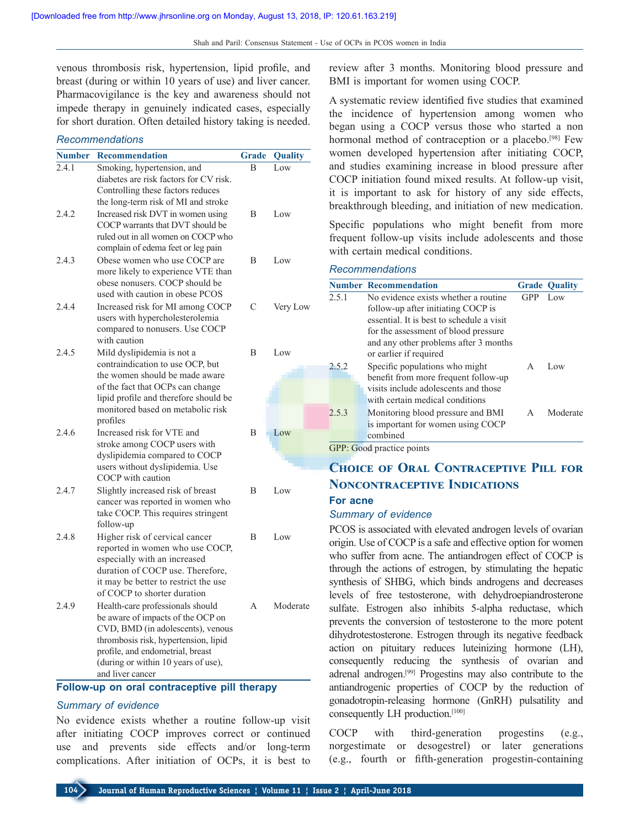venous thrombosis risk, hypertension, lipid profile, and breast (during or within 10 years of use) and liver cancer. Pharmacovigilance is the key and awareness should not impede therapy in genuinely indicated cases, especially for short duration. Often detailed history taking is needed.

#### *Recommendations*

| <b>Number</b> | <b>Recommendation</b>                                          | <b>Grade</b>   | Quality  |
|---------------|----------------------------------------------------------------|----------------|----------|
| 2.4.1         | Smoking, hypertension, and                                     | $\overline{B}$ | Low      |
|               | diabetes are risk factors for CV risk.                         |                |          |
|               | Controlling these factors reduces                              |                |          |
|               | the long-term risk of MI and stroke                            |                |          |
| 2.4.2         | Increased risk DVT in women using                              | B              | Low      |
|               | COCP warrants that DVT should be                               |                |          |
|               | ruled out in all women on COCP who                             |                |          |
|               | complain of edema feet or leg pain                             |                |          |
| 2.4.3         | Obese women who use COCP are                                   | B              | Low      |
|               | more likely to experience VTE than                             |                |          |
|               | obese nonusers. COCP should be                                 |                |          |
|               | used with caution in obese PCOS                                |                |          |
| 2.4.4         | Increased risk for MI among COCP                               | C              | Very Low |
|               | users with hypercholesterolemia                                |                |          |
|               | compared to nonusers. Use COCP<br>with caution                 |                |          |
| 2.4.5         |                                                                | B              | Low      |
|               | Mild dyslipidemia is not a<br>contraindication to use OCP, but |                |          |
|               | the women should be made aware                                 |                |          |
|               | of the fact that OCPs can change                               |                |          |
|               | lipid profile and therefore should be                          |                |          |
|               | monitored based on metabolic risk                              |                |          |
|               | profiles                                                       |                |          |
| 2.4.6         | Increased risk for VTE and                                     | B              | Low      |
|               | stroke among COCP users with                                   |                |          |
|               | dyslipidemia compared to COCP                                  |                |          |
|               | users without dyslipidemia. Use                                |                |          |
|               | COCP with caution                                              |                |          |
| 2.4.7         | Slightly increased risk of breast                              | B              | Low      |
|               | cancer was reported in women who                               |                |          |
|               | take COCP. This requires stringent                             |                |          |
|               | follow-up                                                      |                |          |
| 2.4.8         | Higher risk of cervical cancer                                 | B              | Low      |
|               | reported in women who use COCP,                                |                |          |
|               | especially with an increased                                   |                |          |
|               | duration of COCP use. Therefore,                               |                |          |
|               | it may be better to restrict the use                           |                |          |
|               | of COCP to shorter duration                                    |                |          |
| 2.4.9         | Health-care professionals should                               | A              | Moderate |
|               | be aware of impacts of the OCP on                              |                |          |
|               | CVD, BMD (in adolescents), venous                              |                |          |
|               | thrombosis risk, hypertension, lipid                           |                |          |
|               | profile, and endometrial, breast                               |                |          |
|               | (during or within 10 years of use),<br>and liver cancer        |                |          |
|               |                                                                |                |          |

#### **Follow‑up on oral contraceptive pill therapy**

### *Summary of evidence*

No evidence exists whether a routine follow‑up visit after initiating COCP improves correct or continued use and prevents side effects and/or long-term complications. After initiation of OCPs, it is best to

review after 3 months. Monitoring blood pressure and BMI is important for women using COCP.

A systematic review identified five studies that examined the incidence of hypertension among women who began using a COCP versus those who started a non hormonal method of contraception or a placebo.<sup>[98]</sup> Few women developed hypertension after initiating COCP, and studies examining increase in blood pressure after COCP initiation found mixed results. At follow-up visit, it is important to ask for history of any side effects, breakthrough bleeding, and initiation of new medication.

Specific populations who might benefit from more frequent follow‑up visits include adolescents and those with certain medical conditions.

#### *Recommendations*

|       | <b>Number Recommendation</b>              |     | <b>Grade Ouality</b> |
|-------|-------------------------------------------|-----|----------------------|
| 2.5.1 | No evidence exists whether a routine.     | GPP | Low                  |
|       | follow-up after initiating COCP is        |     |                      |
|       | essential. It is best to schedule a visit |     |                      |
|       | for the assessment of blood pressure      |     |                      |
|       | and any other problems after 3 months     |     |                      |
|       | or earlier if required                    |     |                      |
| 2.5.2 | Specific populations who might            | A   | Low                  |
|       | benefit from more frequent follow-up      |     |                      |
|       | visits include adolescents and those      |     |                      |
|       | with certain medical conditions           |     |                      |
| 2.5.3 | Monitoring blood pressure and BMI         | A   | Moderate             |
|       | is important for women using COCP         |     |                      |
|       | combined                                  |     |                      |

GPP: Good practice points

# **Choice of Oral Contraceptive Pill for Noncontraceptive Indications**

# **For acne**

#### *Summary of evidence*

PCOS is associated with elevated androgen levels of ovarian origin. Use of COCP is a safe and effective option for women who suffer from acne. The antiandrogen effect of COCP is through the actions of estrogen, by stimulating the hepatic synthesis of SHBG, which binds androgens and decreases levels of free testosterone, with dehydroepiandrosterone sulfate. Estrogen also inhibits 5-alpha reductase, which prevents the conversion of testosterone to the more potent dihydrotestosterone. Estrogen through its negative feedback action on pituitary reduces luteinizing hormone (LH), consequently reducing the synthesis of ovarian and adrenal androgen.[99] Progestins may also contribute to the antiandrogenic properties of COCP by the reduction of gonadotropin‑releasing hormone (GnRH) pulsatility and consequently LH production.[100]

COCP with third‑generation progestins (e.g., norgestimate or desogestrel) or later generations (e.g., fourth or fifth‑generation progestin‑containing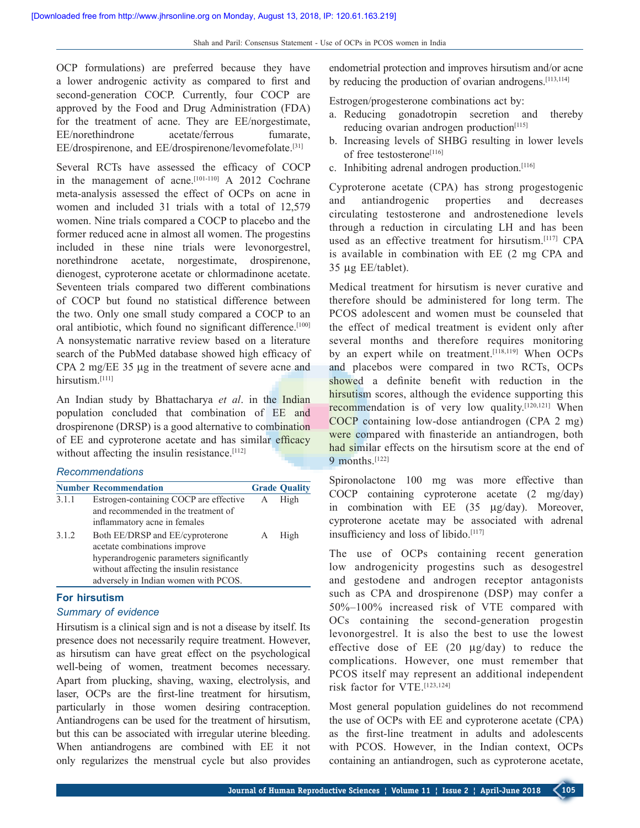OCP formulations) are preferred because they have a lower androgenic activity as compared to first and second-generation COCP. Currently, four COCP are approved by the Food and Drug Administration (FDA) for the treatment of acne. They are EE/norgestimate, EE/norethindrone acetate/ferrous fumarate, EE/drospirenone, and EE/drospirenone/levomefolate.[31]

Several RCTs have assessed the efficacy of COCP in the management of acne.<sup>[101-110]</sup> A 2012 Cochrane meta‑analysis assessed the effect of OCPs on acne in women and included 31 trials with a total of 12,579 women. Nine trials compared a COCP to placebo and the former reduced acne in almost all women. The progestins included in these nine trials were levonorgestrel, norethindrone acetate, norgestimate, drospirenone, dienogest, cyproterone acetate or chlormadinone acetate. Seventeen trials compared two different combinations of COCP but found no statistical difference between the two. Only one small study compared a COCP to an oral antibiotic, which found no significant difference.<sup>[100]</sup> A nonsystematic narrative review based on a literature search of the PubMed database showed high efficacy of CPA 2 mg/EE 35 μg in the treatment of severe acne and hirsutism.<sup>[111]</sup>

An Indian study by Bhattacharya *et al*. in the Indian population concluded that combination of EE and drospirenone (DRSP) is a good alternative to combination of EE and cyproterone acetate and has similar efficacy without affecting the insulin resistance.<sup>[112]</sup>

### *Recommendations*

|       | <b>Number Recommendation</b>                                                                                                 |   | <b>Grade Quality</b> |
|-------|------------------------------------------------------------------------------------------------------------------------------|---|----------------------|
| 3.1.1 | Estrogen-containing COCP are effective<br>and recommended in the treatment of                                                | A | High                 |
|       | inflammatory acne in females                                                                                                 |   |                      |
| 3.1.2 | Both EE/DRSP and EE/cyproterone<br>acetate combinations improve                                                              |   | High                 |
|       | hyperandrogenic parameters significantly<br>without affecting the insulin resistance<br>adversely in Indian women with PCOS. |   |                      |

## **For hirsutism**

#### *Summary of evidence*

Hirsutism is a clinical sign and is not a disease by itself. Its presence does not necessarily require treatment. However, as hirsutism can have great effect on the psychological well-being of women, treatment becomes necessary. Apart from plucking, shaving, waxing, electrolysis, and laser, OCPs are the first-line treatment for hirsutism, particularly in those women desiring contraception. Antiandrogens can be used for the treatment of hirsutism, but this can be associated with irregular uterine bleeding. When antiandrogens are combined with EE it not only regularizes the menstrual cycle but also provides

endometrial protection and improves hirsutism and/or acne by reducing the production of ovarian androgens.[113,114]

Estrogen/progesterone combinations act by:

- a. Reducing gonadotropin secretion and thereby reducing ovarian androgen production<sup>[115]</sup>
- b. Increasing levels of SHBG resulting in lower levels of free testosterone<sup>[116]</sup>
- c. Inhibiting adrenal androgen production.[116]

Cyproterone acetate (CPA) has strong progestogenic and antiandrogenic properties and decreases circulating testosterone and androstenedione levels through a reduction in circulating LH and has been used as an effective treatment for hirsutism.[117] CPA is available in combination with EE (2 mg CPA and 35 μg EE/tablet).

Medical treatment for hirsutism is never curative and therefore should be administered for long term. The PCOS adolescent and women must be counseled that the effect of medical treatment is evident only after several months and therefore requires monitoring by an expert while on treatment.<sup>[118,119]</sup> When OCPs and placebos were compared in two RCTs, OCPs showed a definite benefit with reduction in the hirsutism scores, although the evidence supporting this recommendation is of very low quality.<sup>[120,121]</sup> When COCP containing low‑dose antiandrogen (CPA 2 mg) were compared with finasteride an antiandrogen, both had similar effects on the hirsutism score at the end of 9 months.<sup>[122]</sup>

Spironolactone 100 mg was more effective than COCP containing cyproterone acetate (2 mg/day) in combination with EE (35 μg/day). Moreover, cyproterone acetate may be associated with adrenal insufficiency and loss of libido.[117]

The use of OCPs containing recent generation low androgenicity progestins such as desogestrel and gestodene and androgen receptor antagonists such as CPA and drospirenone (DSP) may confer a 50%–100% increased risk of VTE compared with OCs containing the second-generation progestin levonorgestrel. It is also the best to use the lowest effective dose of EE (20 µg/day) to reduce the complications. However, one must remember that PCOS itself may represent an additional independent risk factor for VTE.[123,124]

Most general population guidelines do not recommend the use of OCPs with EE and cyproterone acetate (CPA) as the first-line treatment in adults and adolescents with PCOS. However, in the Indian context, OCPs containing an antiandrogen, such as cyproterone acetate,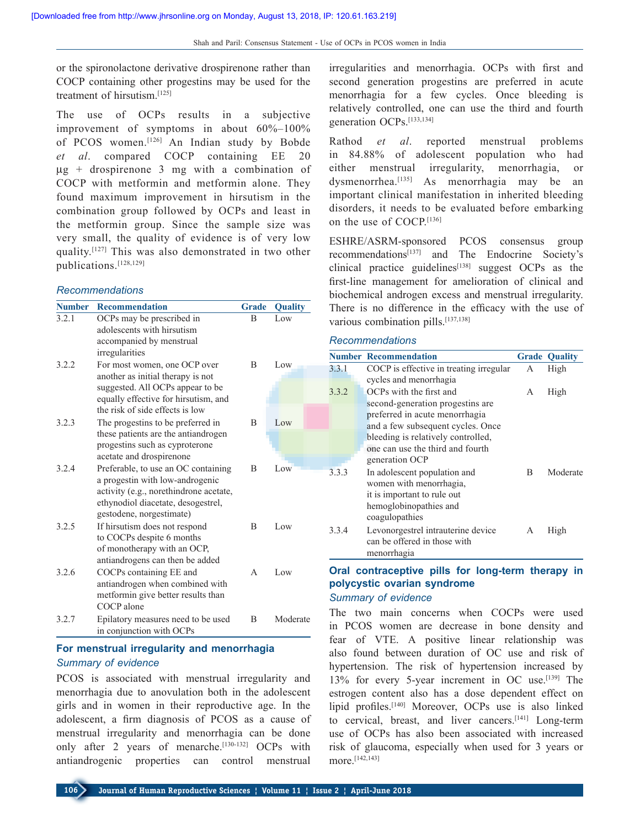or the spironolactone derivative drospirenone rather than COCP containing other progestins may be used for the treatment of hirsutism<sup>[125]</sup>

The use of OCPs results in a subjective improvement of symptoms in about 60%–100% of PCOS women.[126] An Indian study by Bobde *et al*. compared COCP containing EE 20  $\mu$ g + drospirenone 3 mg with a combination of COCP with metformin and metformin alone. They found maximum improvement in hirsutism in the combination group followed by OCPs and least in the metformin group. Since the sample size was very small, the quality of evidence is of very low quality.[127] This was also demonstrated in two other publications.[128,129]

#### *Recommendations*

| <b>Number</b> | <b>Recommendation</b>                                    | <b>Grade</b> | <b>Quality</b> |
|---------------|----------------------------------------------------------|--------------|----------------|
| 3.2.1         | OCPs may be prescribed in                                | B            | Low            |
|               | adolescents with hirsutism                               |              |                |
|               | accompanied by menstrual                                 |              |                |
|               | irregularities                                           |              |                |
| 3.2.2         | For most women, one OCP over                             | B            | Low            |
|               | another as initial therapy is not                        |              |                |
|               | suggested. All OCPs appear to be                         |              |                |
|               | equally effective for hirsutism, and                     |              |                |
|               | the risk of side effects is low                          |              |                |
| 3.2.3         | The progestins to be preferred in                        | B            | Low            |
|               | these patients are the antiandrogen                      |              |                |
|               | progestins such as cyproterone                           |              |                |
|               | acetate and drospirenone                                 |              |                |
| 3.2.4         | Preferable, to use an OC containing                      | B            | Low            |
|               | a progestin with low-androgenic                          |              |                |
|               | activity (e.g., norethindrone acetate,                   |              |                |
|               | ethynodiol diacetate, desogestrel,                       |              |                |
| 3.2.5         | gestodene, norgestimate)                                 | B            |                |
|               | If hirsutism does not respond                            |              | Low            |
|               | to COCPs despite 6 months<br>of monotherapy with an OCP, |              |                |
|               | antiandrogens can then be added                          |              |                |
| 3.2.6         | COCPs containing EE and                                  | A            | Low            |
|               | antiandrogen when combined with                          |              |                |
|               | metformin give better results than                       |              |                |
|               | COCP alone                                               |              |                |
| 3.2.7         | Epilatory measures need to be used                       | B            | Moderate       |
|               | in conjunction with OCPs                                 |              |                |

## **For menstrual irregularity and menorrhagia** *Summary of evidence*

PCOS is associated with menstrual irregularity and menorrhagia due to anovulation both in the adolescent girls and in women in their reproductive age. In the adolescent, a firm diagnosis of PCOS as a cause of menstrual irregularity and menorrhagia can be done only after 2 years of menarche.<sup>[130-132]</sup> OCPs with antiandrogenic properties can control menstrual

irregularities and menorrhagia. OCPs with first and second generation progestins are preferred in acute menorrhagia for a few cycles. Once bleeding is relatively controlled, one can use the third and fourth generation OCPs.[133,134]

Rathod *et al*. reported menstrual problems in 84.88% of adolescent population who had either menstrual irregularity, menorrhagia, or dysmenorrhea.<sup>[135]</sup> As menorrhagia may be an important clinical manifestation in inherited bleeding disorders, it needs to be evaluated before embarking on the use of COCP.[136]

ESHRE/ASRM‑sponsored PCOS consensus group recommendations<sup>[137]</sup> and The Endocrine Society's clinical practice guidelines<sup> $[138]$ </sup> suggest OCPs as the first-line management for amelioration of clinical and biochemical androgen excess and menstrual irregularity. There is no difference in the efficacy with the use of various combination pills.<sup>[137,138]</sup>

#### *Recommendations*

|       | <b>Number Recommendation</b>                                                                                                                         |   | <b>Grade Quality</b> |
|-------|------------------------------------------------------------------------------------------------------------------------------------------------------|---|----------------------|
| 3.3.1 | COCP is effective in treating irregular<br>cycles and menorrhagia                                                                                    | А | High                 |
| 3.3.2 | OCPs with the first and<br>second-generation progestins are                                                                                          | A | High                 |
|       | preferred in acute menorrhagia<br>and a few subsequent cycles. Once                                                                                  |   |                      |
|       | bleeding is relatively controlled,<br>one can use the third and fourth                                                                               |   |                      |
| 3.3.3 | generation OCP<br>In adolescent population and<br>women with menorrhagia,<br>it is important to rule out<br>hemoglobinopathies and<br>coagulopathies | B | Moderate             |
| 3.3.4 | Levonorgestrel intrauterine device<br>can be offered in those with<br>menorrhagia                                                                    | А | High                 |

## **Oral contraceptive pills for long-term therapy in polycystic ovarian syndrome** *Summary of evidence*

The two main concerns when COCPs were used in PCOS women are decrease in bone density and fear of VTE. A positive linear relationship was also found between duration of OC use and risk of hypertension. The risk of hypertension increased by 13% for every 5‑year increment in OC use.[139] The estrogen content also has a dose dependent effect on lipid profiles.<sup>[140]</sup> Moreover, OCPs use is also linked to cervical, breast, and liver cancers.<sup>[141]</sup> Long-term use of OCPs has also been associated with increased risk of glaucoma, especially when used for 3 years or more.[142,143]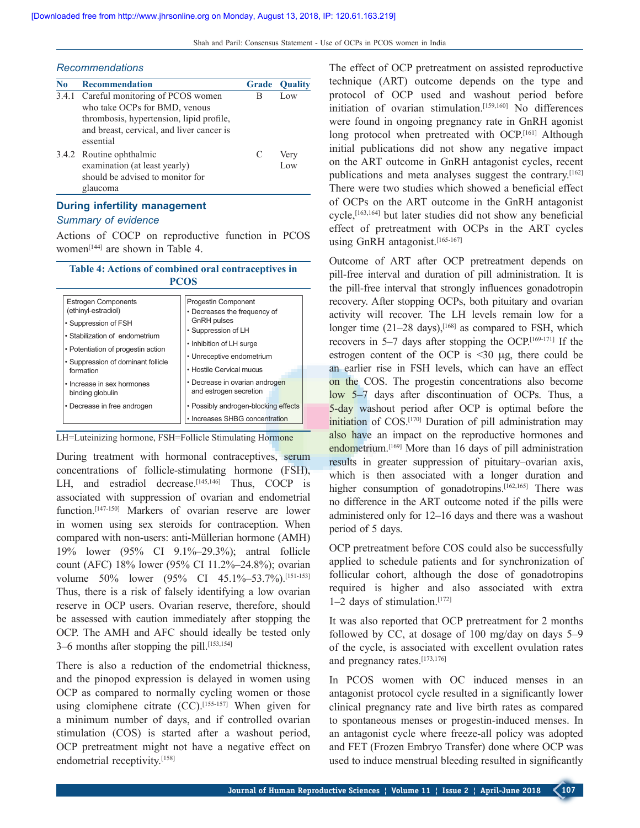#### *Recommendations*

| No | <b>Recommendation</b>                                                                                     | <b>Grade</b> | <b>Ouality</b> |
|----|-----------------------------------------------------------------------------------------------------------|--------------|----------------|
|    | 3.4.1 Careful monitoring of PCOS women<br>who take OCPs for BMD, venous                                   | в            | Low            |
|    | thrombosis, hypertension, lipid profile,<br>and breast, cervical, and liver cancer is<br>essential        |              |                |
|    | 3.4.2 Routine ophthalmic<br>examination (at least yearly)<br>should be advised to monitor for<br>glaucoma | C            | Very<br>Low    |

# **During infertility management**

# *Summary of evidence*

Actions of COCP on reproductive function in PCOS women[144] are shown in Table 4.

## **Table 4: Actions of combined oral contraceptives in PCOS**

| <b>Estrogen Components</b><br>(ethinyl-estradiol)<br>• Suppression of FSH<br>• Stabilization of endometrium<br>• Potentiation of progestin action<br>• Suppression of dominant follicle | <b>Progestin Component</b><br>• Decreases the frequency of<br><b>GnRH</b> pulses<br>• Suppression of LH<br>• Inhibition of LH surge<br>• Unreceptive endometrium |  |
|-----------------------------------------------------------------------------------------------------------------------------------------------------------------------------------------|------------------------------------------------------------------------------------------------------------------------------------------------------------------|--|
| formation                                                                                                                                                                               | • Hostile Cervical mucus                                                                                                                                         |  |
| • Increase in sex hormones<br>binding globulin                                                                                                                                          | • Decrease in ovarian androgen<br>and estrogen secretion                                                                                                         |  |
| • Decrease in free androgen                                                                                                                                                             | • Possibly androgen-blocking effects                                                                                                                             |  |
|                                                                                                                                                                                         | • Increases SHBG concentration                                                                                                                                   |  |

LH=Luteinizing hormone, FSH=Follicle Stimulating Hormone

During treatment with hormonal contraceptives, serum concentrations of follicle-stimulating hormone (FSH), LH, and estradiol decrease.<sup>[145,146]</sup> Thus, COCP is associated with suppression of ovarian and endometrial function.<sup>[147-150]</sup> Markers of ovarian reserve are lower in women using sex steroids for contraception. When compared with non-users: anti‑Müllerian hormone (AMH) 19% lower (95% CI 9.1%–29.3%); antral follicle count (AFC) 18% lower (95% CI 11.2%–24.8%); ovarian volume 50% lower (95% CI 45.1%–53.7%).<sup>[151-153]</sup> Thus, there is a risk of falsely identifying a low ovarian reserve in OCP users. Ovarian reserve, therefore, should be assessed with caution immediately after stopping the OCP. The AMH and AFC should ideally be tested only 3–6 months after stopping the pill.<sup>[153,154]</sup>

There is also a reduction of the endometrial thickness, and the pinopod expression is delayed in women using OCP as compared to normally cycling women or those using clomiphene citrate  $(CC)$ .<sup>[155-157]</sup> When given for a minimum number of days, and if controlled ovarian stimulation (COS) is started after a washout period, OCP pretreatment might not have a negative effect on endometrial receptivity.[158]

The effect of OCP pretreatment on assisted reproductive technique (ART) outcome depends on the type and protocol of OCP used and washout period before initiation of ovarian stimulation.[159,160] No differences were found in ongoing pregnancy rate in GnRH agonist long protocol when pretreated with OCP.<sup>[161]</sup> Although initial publications did not show any negative impact on the ART outcome in GnRH antagonist cycles, recent publications and meta analyses suggest the contrary.[162] There were two studies which showed a beneficial effect of OCPs on the ART outcome in the GnRH antagonist cycle,<sup>[163,164]</sup> but later studies did not show any beneficial effect of pretreatment with OCPs in the ART cycles using GnRH antagonist.[165-167]

Outcome of ART after OCP pretreatment depends on pill‑free interval and duration of pill administration. It is the pill‑free interval that strongly influences gonadotropin recovery. After stopping OCPs, both pituitary and ovarian activity will recover. The LH levels remain low for a longer time  $(21-28 \text{ days})$ ,  $[168]$  as compared to FSH, which recovers in 5–7 days after stopping the OCP.[169‑171] If the estrogen content of the OCP is  $\leq 30 \mu$ g, there could be an earlier rise in FSH levels, which can have an effect on the COS. The progestin concentrations also become low 5–7 days after discontinuation of OCPs. Thus, a 5-day washout period after OCP is optimal before the initiation of COS.<sup>[170]</sup> Duration of pill administration may also have an impact on the reproductive hormones and endometrium.<sup>[169]</sup> More than 16 days of pill administration results in greater suppression of pituitary–ovarian axis, which is then associated with a longer duration and higher consumption of gonadotropins.<sup>[162,165]</sup> There was no difference in the ART outcome noted if the pills were administered only for 12–16 days and there was a washout period of 5 days.

OCP pretreatment before COS could also be successfully applied to schedule patients and for synchronization of follicular cohort, although the dose of gonadotropins required is higher and also associated with extra  $1-2$  days of stimulation.<sup>[172]</sup>

It was also reported that OCP pretreatment for 2 months followed by CC, at dosage of 100 mg/day on days 5–9 of the cycle, is associated with excellent ovulation rates and pregnancy rates.[173,176]

In PCOS women with OC induced menses in an antagonist protocol cycle resulted in a significantly lower clinical pregnancy rate and live birth rates as compared to spontaneous menses or progestin‑induced menses. In an antagonist cycle where freeze‑all policy was adopted and FET (Frozen Embryo Transfer) done where OCP was used to induce menstrual bleeding resulted in significantly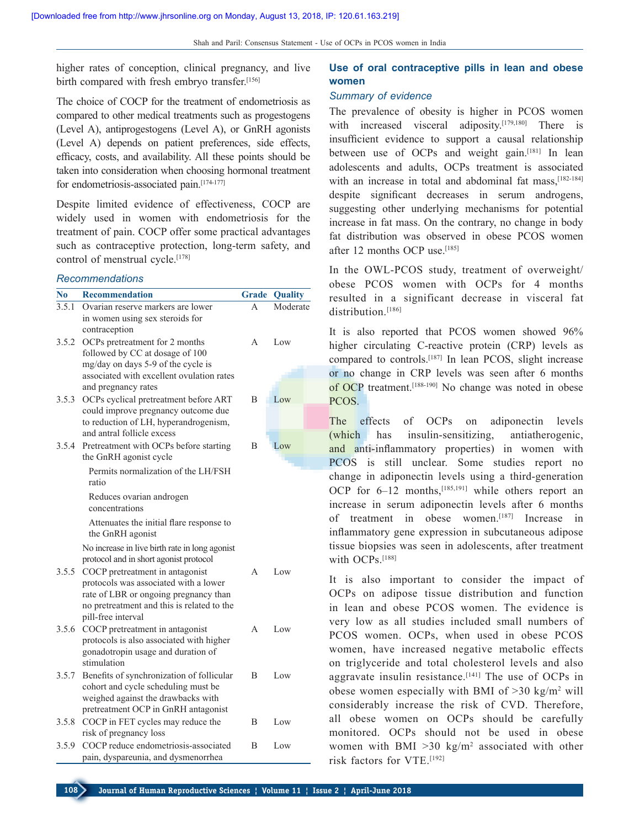higher rates of conception, clinical pregnancy, and live birth compared with fresh embryo transfer.[156]

The choice of COCP for the treatment of endometriosis as compared to other medical treatments such as progestogens (Level A), antiprogestogens (Level A), or GnRH agonists (Level A) depends on patient preferences, side effects, efficacy, costs, and availability. All these points should be taken into consideration when choosing hormonal treatment for endometriosis-associated pain.<sup>[174-177]</sup>

Despite limited evidence of effectiveness, COCP are widely used in women with endometriosis for the treatment of pain. COCP offer some practical advantages such as contraceptive protection, long-term safety, and control of menstrual cycle.<sup>[178]</sup>

#### *Recommendations*

| N <sub>0</sub> | <b>Recommendation</b>                                                                                                                                                                 | <b>Grade</b> | Quality  |
|----------------|---------------------------------------------------------------------------------------------------------------------------------------------------------------------------------------|--------------|----------|
| 3.5.1          | Ovarian reserve markers are lower<br>in women using sex steroids for<br>contraception                                                                                                 | A            | Moderate |
| 3.5.2          | OCPs pretreatment for 2 months<br>followed by CC at dosage of 100<br>mg/day on days 5-9 of the cycle is<br>associated with excellent ovulation rates<br>and pregnancy rates           | A            | Low      |
| 3.5.3          | OCPs cyclical pretreatment before ART<br>could improve pregnancy outcome due<br>to reduction of LH, hyperandrogenism,<br>and antral follicle excess                                   | B            | Low      |
| 3.5.4          | Pretreatment with OCPs before starting<br>the GnRH agonist cycle                                                                                                                      | B            | Low      |
|                | Permits normalization of the LH/FSH<br>ratio                                                                                                                                          |              |          |
|                | Reduces ovarian androgen<br>concentrations                                                                                                                                            |              |          |
|                | Attenuates the initial flare response to<br>the GnRH agonist                                                                                                                          |              |          |
|                | No increase in live birth rate in long agonist<br>protocol and in short agonist protocol                                                                                              |              |          |
| 3.5.5          | COCP pretreatment in antagonist<br>protocols was associated with a lower<br>rate of LBR or ongoing pregnancy than<br>no pretreatment and this is related to the<br>pill-free interval | A            | Low      |
| 3.5.6          | COCP pretreatment in antagonist<br>protocols is also associated with higher<br>gonadotropin usage and duration of<br>stimulation                                                      | A            | Low      |
| 3.5.7          | Benefits of synchronization of follicular<br>cohort and cycle scheduling must be<br>weighed against the drawbacks with<br>pretreatment OCP in GnRH antagonist                         | B            | Low      |
| 3.5.8          | COCP in FET cycles may reduce the<br>risk of pregnancy loss                                                                                                                           | B            | Low      |
| 3.5.9          | COCP reduce endometriosis-associated<br>pain, dyspareunia, and dysmenorrhea                                                                                                           | B            | Low      |

# **Use of oral contraceptive pills in lean and obese women**

#### *Summary of evidence*

The prevalence of obesity is higher in PCOS women with increased visceral adiposity.<sup>[179,180]</sup> There is insufficient evidence to support a causal relationship between use of OCPs and weight gain.[181] In lean adolescents and adults, OCPs treatment is associated with an increase in total and abdominal fat mass.<sup>[182-184]</sup> despite significant decreases in serum androgens, suggesting other underlying mechanisms for potential increase in fat mass. On the contrary, no change in body fat distribution was observed in obese PCOS women after 12 months OCP use  $[185]$ 

In the OWL-PCOS study, treatment of overweight/ obese PCOS women with OCPs for 4 months resulted in a significant decrease in visceral fat distribution.<sup>[186]</sup>

It is also reported that PCOS women showed 96% higher circulating C-reactive protein (CRP) levels as compared to controls.[187] In lean PCOS, slight increase or no change in CRP levels was seen after 6 months of OCP treatment.<sup>[188-190]</sup> No change was noted in obese PCOS.

The effects of OCPs on adiponectin levels (which has insulin‑sensitizing, antiatherogenic, and anti-inflammatory properties) in women with PCOS is still unclear. Some studies report no change in adiponectin levels using a third-generation OCP for  $6-12$  months,<sup>[185,191]</sup> while others report an increase in serum adiponectin levels after 6 months of treatment in obese women.[187] Increase in inflammatory gene expression in subcutaneous adipose tissue biopsies was seen in adolescents, after treatment with OCP<sub>S.</sub>[188]

It is also important to consider the impact of OCPs on adipose tissue distribution and function in lean and obese PCOS women. The evidence is very low as all studies included small numbers of PCOS women. OCPs, when used in obese PCOS women, have increased negative metabolic effects on triglyceride and total cholesterol levels and also aggravate insulin resistance.<sup>[141]</sup> The use of OCPs in obese women especially with BMI of  $>30$  kg/m<sup>2</sup> will considerably increase the risk of CVD. Therefore, all obese women on OCPs should be carefully monitored. OCPs should not be used in obese women with BMI  $>30 \text{ kg/m}^2$  associated with other risk factors for VTE.[192]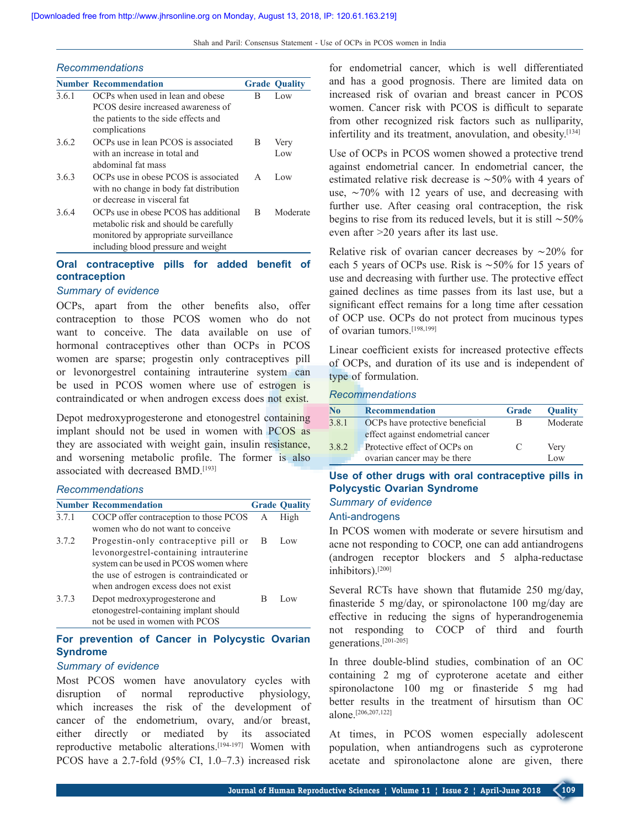#### *Recommendations*

|       | <b>Number Recommendation</b>                                                                                                                                    |              | <b>Grade Ouality</b> |
|-------|-----------------------------------------------------------------------------------------------------------------------------------------------------------------|--------------|----------------------|
| 3.6.1 | OCPs when used in lean and obese<br>PCOS desire increased awareness of                                                                                          | В            | Low                  |
|       | the patients to the side effects and<br>complications                                                                                                           |              |                      |
| 3.6.2 | OCPs use in lean PCOS is associated                                                                                                                             | B            | Very                 |
|       | with an increase in total and<br>abdominal fat mass                                                                                                             |              | Low                  |
| 3.6.3 | OCPs use in obese PCOS is associated<br>with no change in body fat distribution<br>or decrease in visceral fat                                                  | $\mathsf{A}$ | Low                  |
| 3.6.4 | OCPs use in obese PCOS has additional<br>metabolic risk and should be carefully<br>monitored by appropriate surveillance<br>including blood pressure and weight | B            | Moderate             |

## **Oral contraceptive pills for added benefit of contraception**

#### *Summary of evidence*

OCPs, apart from the other benefits also, offer contraception to those PCOS women who do not want to conceive. The data available on use of hormonal contraceptives other than OCPs in PCOS women are sparse; progestin only contraceptives pill or levonorgestrel containing intrauterine system can be used in PCOS women where use of estrogen is contraindicated or when androgen excess does not exist.

Depot medroxyprogesterone and etonogestrel containing implant should not be used in women with PCOS as they are associated with weight gain, insulin resistance, and worsening metabolic profile. The former is also associated with decreased BMD.[193]

#### *Recommendations*

|       | <b>Number Recommendation</b>                                                                                                                                                                                 |   | <b>Grade Quality</b> |
|-------|--------------------------------------------------------------------------------------------------------------------------------------------------------------------------------------------------------------|---|----------------------|
| 3.7.1 | COCP offer contraception to those PCOS                                                                                                                                                                       | A | High                 |
|       | women who do not want to conceive                                                                                                                                                                            |   |                      |
| 3.7.2 | Progestin-only contraceptive pill or<br>levonorgestrel-containing intrauterine<br>system can be used in PCOS women where<br>the use of estrogen is contraindicated or<br>when androgen excess does not exist | B | Low                  |
| 373   | Depot medroxyprogesterone and<br>etonogestrel-containing implant should<br>not be used in women with PCOS                                                                                                    | В | Low.                 |

# **For prevention of Cancer in Polycystic Ovarian Syndrome**

## *Summary of evidence*

Most PCOS women have anovulatory cycles with disruption of normal reproductive physiology, which increases the risk of the development of cancer of the endometrium, ovary, and/or breast, either directly or mediated by its associated reproductive metabolic alterations.<sup>[194-197]</sup> Women with PCOS have a 2.7‑fold (95% CI, 1.0–7.3) increased risk

for endometrial cancer, which is well differentiated and has a good prognosis. There are limited data on increased risk of ovarian and breast cancer in PCOS women. Cancer risk with PCOS is difficult to separate from other recognized risk factors such as nulliparity, infertility and its treatment, anovulation, and obesity.<sup>[134]</sup>

Use of OCPs in PCOS women showed a protective trend against endometrial cancer. In endometrial cancer, the estimated relative risk decrease is ∼50% with 4 years of use, ∼70% with 12 years of use, and decreasing with further use. After ceasing oral contraception, the risk begins to rise from its reduced levels, but it is still ∼50% even after >20 years after its last use.

Relative risk of ovarian cancer decreases by ∼20% for each 5 years of OCPs use. Risk is ∼50% for 15 years of use and decreasing with further use. The protective effect gained declines as time passes from its last use, but a significant effect remains for a long time after cessation of OCP use. OCPs do not protect from mucinous types of ovarian tumors.[198,199]

Linear coefficient exists for increased protective effects of OCPs, and duration of its use and is independent of type of formulation.

#### *Recommendations*

| No    | <b>Recommendation</b>             | <b>Grade</b> | <b>Quality</b> |
|-------|-----------------------------------|--------------|----------------|
| 3.8.1 | OCPs have protective beneficial   | В            | Moderate       |
|       | effect against endometrial cancer |              |                |
| 3.8.2 | Protective effect of OCPs on      | €            | Very           |
|       | ovarian cancer may be there       |              | Low            |

# **Use of other drugs with oral contraceptive pills in Polycystic Ovarian Syndrome**

# *Summary of evidence*

# Anti-androgens

In PCOS women with moderate or severe hirsutism and acne not responding to COCP, one can add antiandrogens (androgen receptor blockers and 5 alpha‑reductase inhibitors).[200]

Several RCTs have shown that flutamide 250 mg/day, finasteride 5 mg/day, or spironolactone 100 mg/day are effective in reducing the signs of hyperandrogenemia not responding to COCP of third and fourth generations.[201‑205]

In three double-blind studies, combination of an OC containing 2 mg of cyproterone acetate and either spironolactone 100 mg or finasteride 5 mg had better results in the treatment of hirsutism than OC alone.[206,207,122]

At times, in PCOS women especially adolescent population, when antiandrogens such as cyproterone acetate and spironolactone alone are given, there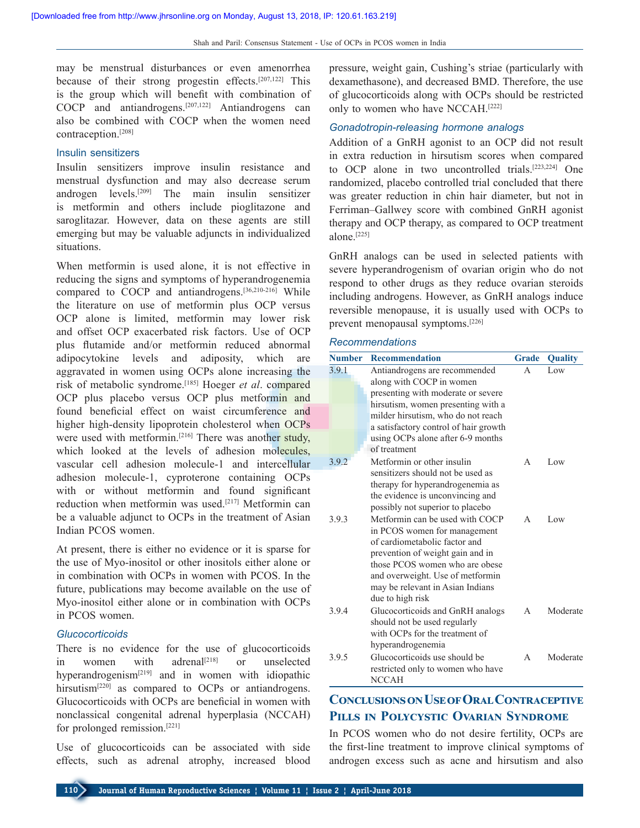may be menstrual disturbances or even amenorrhea because of their strong progestin effects.[207,122] This is the group which will benefit with combination of COCP and antiandrogens.[207,122] Antiandrogens can also be combined with COCP when the women need contraception.[208]

### Insulin sensitizers

Insulin sensitizers improve insulin resistance and menstrual dysfunction and may also decrease serum androgen levels.[209] The main insulin sensitizer is metformin and others include pioglitazone and saroglitazar. However, data on these agents are still emerging but may be valuable adjuncts in individualized situations.

When metformin is used alone, it is not effective in reducing the signs and symptoms of hyperandrogenemia compared to COCP and antiandrogens.<sup>[36,210-216]</sup> While the literature on use of metformin plus OCP versus OCP alone is limited, metformin may lower risk and offset OCP exacerbated risk factors. Use of OCP plus flutamide and/or metformin reduced abnormal adipocytokine levels and adiposity, which are aggravated in women using OCPs alone increasing the risk of metabolic syndrome.[185] Hoeger *et al*. compared OCP plus placebo versus OCP plus metformin and found beneficial effect on waist circumference and higher high-density lipoprotein cholesterol when OCPs were used with metformin.<sup>[216]</sup> There was another study, which looked at the levels of adhesion molecules, vascular cell adhesion molecule-1 and intercellular adhesion molecule-1, cyproterone containing OCPs with or without metformin and found significant reduction when metformin was used.[217] Metformin can be a valuable adjunct to OCPs in the treatment of Asian Indian PCOS women.

At present, there is either no evidence or it is sparse for the use of Myo‑inositol or other inositols either alone or in combination with OCPs in women with PCOS. In the future, publications may become available on the use of Myo‑inositol either alone or in combination with OCPs in PCOS women.

#### *Glucocorticoids*

There is no evidence for the use of glucocorticoids in women with adrenal<sup>[218]</sup> or unselected hyperandrogenism[219] and in women with idiopathic hirsutism<sup>[220]</sup> as compared to OCPs or antiandrogens. Glucocorticoids with OCPs are beneficial in women with nonclassical congenital adrenal hyperplasia (NCCAH) for prolonged remission.[221]

Use of glucocorticoids can be associated with side effects, such as adrenal atrophy, increased blood pressure, weight gain, Cushing's striae (particularly with dexamethasone), and decreased BMD. Therefore, the use of glucocorticoids along with OCPs should be restricted only to women who have NCCAH.[222]

## *Gonadotropin‑releasing hormone analogs*

Addition of a GnRH agonist to an OCP did not result in extra reduction in hirsutism scores when compared to OCP alone in two uncontrolled trials.[223,224] One randomized, placebo controlled trial concluded that there was greater reduction in chin hair diameter, but not in Ferriman–Gallwey score with combined GnRH agonist therapy and OCP therapy, as compared to OCP treatment alone.[225]

GnRH analogs can be used in selected patients with severe hyperandrogenism of ovarian origin who do not respond to other drugs as they reduce ovarian steroids including androgens. However, as GnRH analogs induce reversible menopause, it is usually used with OCPs to prevent menopausal symptoms.[226]

### *Recommendations*

| <b>Number</b> | Recommendation                                                                                                                                                                                                                                                     | <b>Grade</b> | <b>Quality</b> |
|---------------|--------------------------------------------------------------------------------------------------------------------------------------------------------------------------------------------------------------------------------------------------------------------|--------------|----------------|
| 3.9.1         | Antiandrogens are recommended<br>along with COCP in women<br>presenting with moderate or severe<br>hirsutism, women presenting with a<br>milder hirsutism, who do not reach<br>a satisfactory control of hair growth<br>using OCPs alone after 6-9 months          | $\Delta$     | Low            |
|               | of treatment                                                                                                                                                                                                                                                       |              |                |
| 3.9.2         | Metformin or other insulin<br>sensitizers should not be used as<br>therapy for hyperandrogenemia as<br>the evidence is unconvincing and<br>possibly not superior to placebo                                                                                        | A            | Low            |
| 3.9.3         | Metformin can be used with COCP<br>in PCOS women for management<br>of cardiometabolic factor and<br>prevention of weight gain and in<br>those PCOS women who are obese<br>and overweight. Use of metformin<br>may be relevant in Asian Indians<br>due to high risk | A            | Low            |
| 394           | Glucocorticoids and GnRH analogs<br>should not be used regularly<br>with OCPs for the treatment of<br>hyperandrogenemia                                                                                                                                            | A            | Moderate       |
| 3.9.5         | Glucocorticoids use should be<br>restricted only to women who have<br><b>NCCAH</b>                                                                                                                                                                                 | A            | Moderate       |

# **Conclusions on Use of Oral Contraceptive Pills in Polycystic Ovarian Syndrome**

In PCOS women who do not desire fertility, OCPs are the first‑line treatment to improve clinical symptoms of androgen excess such as acne and hirsutism and also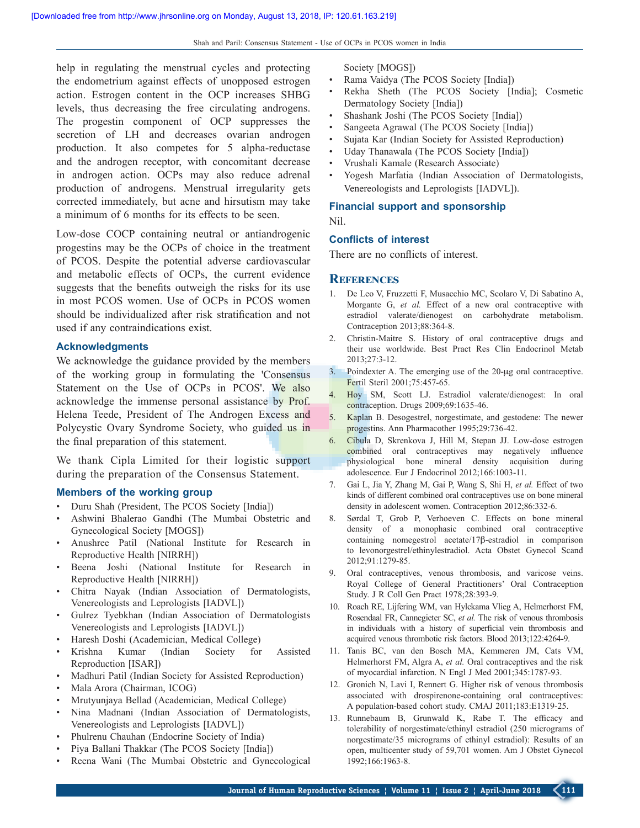help in regulating the menstrual cycles and protecting the endometrium against effects of unopposed estrogen action. Estrogen content in the OCP increases SHBG levels, thus decreasing the free circulating androgens. The progestin component of OCP suppresses the secretion of LH and decreases ovarian androgen production. It also competes for 5 alpha-reductase and the androgen receptor, with concomitant decrease in androgen action. OCPs may also reduce adrenal production of androgens. Menstrual irregularity gets corrected immediately, but acne and hirsutism may take a minimum of 6 months for its effects to be seen.

Low‑dose COCP containing neutral or antiandrogenic progestins may be the OCPs of choice in the treatment of PCOS. Despite the potential adverse cardiovascular and metabolic effects of OCPs, the current evidence suggests that the benefits outweigh the risks for its use in most PCOS women. Use of OCPs in PCOS women should be individualized after risk stratification and not used if any contraindications exist.

### **Acknowledgments**

We acknowledge the guidance provided by the members of the working group in formulating the 'Consensus Statement on the Use of OCPs in PCOS'. We also acknowledge the immense personal assistance by Prof. Helena Teede, President of The Androgen Excess and Polycystic Ovary Syndrome Society, who guided us in the final preparation of this statement.

We thank Cipla Limited for their logistic support during the preparation of the Consensus Statement.

#### **Members of the working group**

- Duru Shah (President, The PCOS Society [India])
- Ashwini Bhalerao Gandhi (The Mumbai Obstetric and Gynecological Society [MOGS])
- Anushree Patil (National Institute for Research in Reproductive Health [NIRRH])
- Beena Joshi (National Institute for Research in Reproductive Health [NIRRH])
- Chitra Nayak (Indian Association of Dermatologists, Venereologists and Leprologists [IADVL])
- Gulrez Tyebkhan (Indian Association of Dermatologists Venereologists and Leprologists [IADVL])
- Haresh Doshi (Academician, Medical College)
- Krishna Kumar (Indian Society for Assisted Reproduction [ISAR])
- Madhuri Patil (Indian Society for Assisted Reproduction)
- Mala Arora (Chairman, ICOG)
- Mrutyunjaya Bellad (Academician, Medical College)
- Nina Madnani (Indian Association of Dermatologists, Venereologists and Leprologists [IADVL])
- Phulrenu Chauhan (Endocrine Society of India)
- Piya Ballani Thakkar (The PCOS Society [India])
- Reena Wani (The Mumbai Obstetric and Gynecological

Society [MOGS])

- Rama Vaidya (The PCOS Society [India])
- Rekha Sheth (The PCOS Society [India]; Cosmetic Dermatology Society [India])
- Shashank Joshi (The PCOS Society [India])
- Sangeeta Agrawal (The PCOS Society [India])
- Sujata Kar (Indian Society for Assisted Reproduction)
- Uday Thanawala (The PCOS Society [India])
- Vrushali Kamale (Research Associate)
- Yogesh Marfatia (Indian Association of Dermatologists, Venereologists and Leprologists [IADVL]).

## **Financial support and sponsorship** Nil.

#### **Conflicts of interest**

There are no conflicts of interest.

### **References**

- 1. De Leo V, Fruzzetti F, Musacchio MC, Scolaro V, Di Sabatino A, Morgante G, *et al.* Effect of a new oral contraceptive with estradiol valerate/dienogest on carbohydrate metabolism. Contraception 2013;88:364‑8.
- 2. Christin‑Maitre S. History of oral contraceptive drugs and their use worldwide. Best Pract Res Clin Endocrinol Metab 2013;27:3‑12.
- 3. Poindexter A. The emerging use of the 20‑μg oral contraceptive. Fertil Steril 2001;75:457‑65.
- 4. Hoy SM, Scott LJ. Estradiol valerate/dienogest: In oral contraception. Drugs 2009;69:1635-46.
- 5. Kaplan B. Desogestrel, norgestimate, and gestodene: The newer progestins. Ann Pharmacother 1995;29:736‑42.
- 6. Cibula D, Skrenkova J, Hill M, Stepan JJ. Low‑dose estrogen combined oral contraceptives may negatively influence physiological bone mineral density acquisition during adolescence. Eur J Endocrinol 2012;166:1003‑11.
- 7. Gai L, Jia Y, Zhang M, Gai P, Wang S, Shi H, *et al.* Effect of two kinds of different combined oral contraceptives use on bone mineral density in adolescent women. Contraception 2012;86:332-6.
- 8. Sørdal T, Grob P, Verhoeven C. Effects on bone mineral density of a monophasic combined oral contraceptive containing nomegestrol acetate/17β‑estradiol in comparison to levonorgestrel/ethinylestradiol. Acta Obstet Gynecol Scand 2012;91:1279‑85.
- 9. Oral contraceptives, venous thrombosis, and varicose veins. Royal College of General Practitioners' Oral Contraception Study. J R Coll Gen Pract 1978;28:393‑9.
- 10. Roach RE, Lijfering WM, van Hylckama Vlieg A, Helmerhorst FM, Rosendaal FR, Cannegieter SC, *et al.* The risk of venous thrombosis in individuals with a history of superficial vein thrombosis and acquired venous thrombotic risk factors. Blood 2013;122:4264‑9.
- 11. Tanis BC, van den Bosch MA, Kemmeren JM, Cats VM, Helmerhorst FM, Algra A, *et al.* Oral contraceptives and the risk of myocardial infarction. N Engl J Med 2001;345:1787‑93.
- 12. Gronich N, Lavi I, Rennert G. Higher risk of venous thrombosis associated with drospirenone‑containing oral contraceptives: A population-based cohort study. CMAJ 2011;183:E1319-25.
- 13. Runnebaum B, Grunwald K, Rabe T. The efficacy and tolerability of norgestimate/ethinyl estradiol (250 micrograms of norgestimate/35 micrograms of ethinyl estradiol): Results of an open, multicenter study of 59,701 women. Am J Obstet Gynecol 1992;166:1963‑8.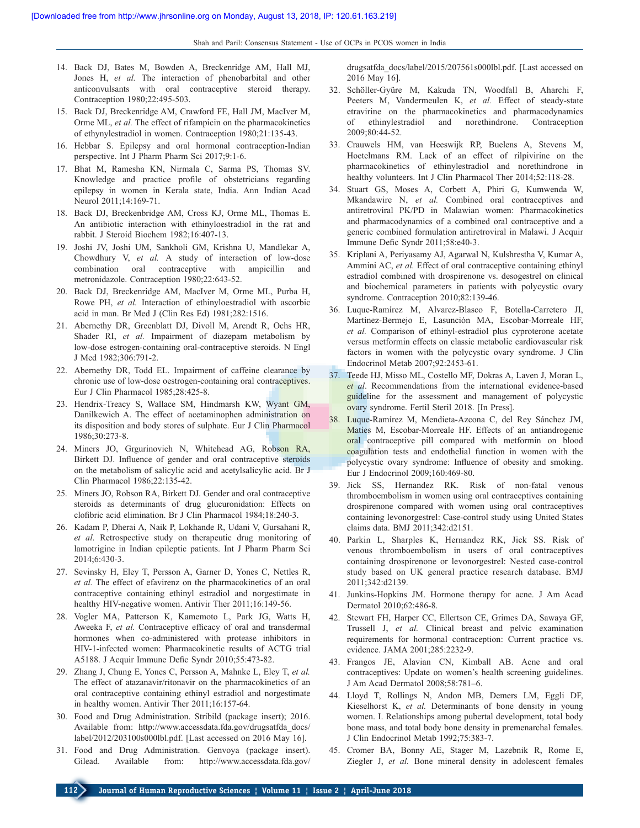- 14. Back DJ, Bates M, Bowden A, Breckenridge AM, Hall MJ, Jones H, *et al.* The interaction of phenobarbital and other anticonvulsants with oral contraceptive steroid therapy. Contraception 1980;22:495-503.
- 15. Back DJ, Breckenridge AM, Crawford FE, Hall JM, MacIver M, Orme ML, *et al.* The effect of rifampicin on the pharmacokinetics of ethynylestradiol in women. Contraception 1980;21:135‑43.
- 16. Hebbar S. Epilepsy and oral hormonal contraception-Indian perspective. Int J Pharm Pharm Sci 2017;9:1‑6.
- 17. Bhat M, Ramesha KN, Nirmala C, Sarma PS, Thomas SV. Knowledge and practice profile of obstetricians regarding epilepsy in women in Kerala state, India. Ann Indian Acad Neurol 2011;14:169-71.
- 18. Back DJ, Breckenbridge AM, Cross KJ, Orme ML, Thomas E. An antibiotic interaction with ethinyloestradiol in the rat and rabbit. J Steroid Biochem 1982;16:407‑13.
- 19. Joshi JV, Joshi UM, Sankholi GM, Krishna U, Mandlekar A, Chowdhury V, *et al.* A study of interaction of low‑dose combination oral contraceptive with ampicillin and metronidazole. Contraception 1980;22:643-52.
- 20. Back DJ, Breckenridge AM, MacIver M, Orme ML, Purba H, Rowe PH, *et al.* Interaction of ethinyloestradiol with ascorbic acid in man. Br Med J (Clin Res Ed) 1981;282:1516.
- 21. Abernethy DR, Greenblatt DJ, Divoll M, Arendt R, Ochs HR, Shader RI, *et al.* Impairment of diazepam metabolism by low-dose estrogen-containing oral-contraceptive steroids. N Engl J Med 1982;306:791‑2.
- 22. Abernethy DR, Todd EL. Impairment of caffeine clearance by chronic use of low-dose oestrogen-containing oral contraceptives. Eur J Clin Pharmacol 1985;28:425‑8.
- 23. Hendrix‑Treacy S, Wallace SM, Hindmarsh KW, Wyant GM, Danilkewich A. The effect of acetaminophen administration on its disposition and body stores of sulphate. Eur J Clin Pharmacol 1986;30:273‑8.
- 24. Miners JO, Grgurinovich N, Whitehead AG, Robson RA, Birkett DJ. Influence of gender and oral contraceptive steroids on the metabolism of salicylic acid and acetylsalicylic acid. Br J Clin Pharmacol 1986;22:135‑42.
- 25. Miners JO, Robson RA, Birkett DJ. Gender and oral contraceptive steroids as determinants of drug glucuronidation: Effects on clofibric acid elimination. Br J Clin Pharmacol 1984;18:240‑3.
- 26. Kadam P, Dherai A, Naik P, Lokhande R, Udani V, Gursahani R, *et al*. Retrospective study on therapeutic drug monitoring of lamotrigine in Indian epileptic patients. Int J Pharm Pharm Sci 2014;6:430‑3.
- 27. Sevinsky H, Eley T, Persson A, Garner D, Yones C, Nettles R, *et al.* The effect of efavirenz on the pharmacokinetics of an oral contraceptive containing ethinyl estradiol and norgestimate in healthy HIV-negative women. Antivir Ther 2011;16:149-56.
- 28. Vogler MA, Patterson K, Kamemoto L, Park JG, Watts H, Aweeka F, *et al.* Contraceptive efficacy of oral and transdermal hormones when co-administered with protease inhibitors in HIV-1-infected women: Pharmacokinetic results of ACTG trial A5188. J Acquir Immune Defic Syndr 2010;55:473‑82.
- 29. Zhang J, Chung E, Yones C, Persson A, Mahnke L, Eley T, *et al.* The effect of atazanavir/ritonavir on the pharmacokinetics of an oral contraceptive containing ethinyl estradiol and norgestimate in healthy women. Antivir Ther 2011;16:157‑64.
- 30. Food and Drug Administration. Stribild (package insert); 2016. Available from: http://www.accessdata.fda.gov/drugsatfda\_docs/ label/2012/203100s000lbl.pdf. [Last accessed on 2016 May 16].
- 31. Food and Drug Administration. Genvoya (package insert). Gilead. Available from: http://www.accessdata.fda.gov/

drugsatfda\_docs/label/2015/207561s000lbl.pdf. [Last accessed on 2016 May 16].

- 32. Schöller‑Gyüre M, Kakuda TN, Woodfall B, Aharchi F, Peeters M, Vandermeulen K, et al. Effect of steady-state etravirine on the pharmacokinetics and pharmacodynamics of ethinylestradiol and norethindrone. Contraception 2009;80:44‑52.
- 33. Crauwels HM, van Heeswijk RP, Buelens A, Stevens M, Hoetelmans RM. Lack of an effect of rilpivirine on the pharmacokinetics of ethinylestradiol and norethindrone in healthy volunteers. Int J Clin Pharmacol Ther 2014;52:118-28.
- 34. Stuart GS, Moses A, Corbett A, Phiri G, Kumwenda W, Mkandawire N, *et al.* Combined oral contraceptives and antiretroviral PK/PD in Malawian women: Pharmacokinetics and pharmacodynamics of a combined oral contraceptive and a generic combined formulation antiretroviral in Malawi. J Acquir Immune Defic Syndr 2011;58:e40‑3.
- 35. Kriplani A, Periyasamy AJ, Agarwal N, Kulshrestha V, Kumar A, Ammini AC, *et al.* Effect of oral contraceptive containing ethinyl estradiol combined with drospirenone vs. desogestrel on clinical and biochemical parameters in patients with polycystic ovary syndrome. Contraception 2010;82:139-46.
- 36. Luque‑Ramírez M, Alvarez‑Blasco F, Botella‑Carretero JI, Martínez‑Bermejo E, Lasunción MA, Escobar‑Morreale HF, *et al.* Comparison of ethinyl‑estradiol plus cyproterone acetate versus metformin effects on classic metabolic cardiovascular risk factors in women with the polycystic ovary syndrome. J Clin Endocrinol Metab 2007;92:2453‑61.
- 37. Teede HJ, Misso ML, Costello MF, Dokras A, Laven J, Moran L, *et al*. Recommendations from the international evidence‑based guideline for the assessment and management of polycystic ovary syndrome. Fertil Steril 2018. [In Press].
- 38. Luque‑Ramírez M, Mendieta‑Azcona C, del Rey Sánchez JM, Matíes M, Escobar-Morreale HF. Effects of an antiandrogenic oral contraceptive pill compared with metformin on blood coagulation tests and endothelial function in women with the polycystic ovary syndrome: Influence of obesity and smoking. Eur J Endocrinol 2009;160:469‑80.
- 39. Jick SS, Hernandez RK. Risk of non‑fatal venous thromboembolism in women using oral contraceptives containing drospirenone compared with women using oral contraceptives containing levonorgestrel: Case-control study using United States claims data. BMJ 2011;342:d2151.
- 40. Parkin L, Sharples K, Hernandez RK, Jick SS. Risk of venous thromboembolism in users of oral contraceptives containing drospirenone or levonorgestrel: Nested case-control study based on UK general practice research database. BMJ 2011;342:d2139.
- 41. Junkins‑Hopkins JM. Hormone therapy for acne. J Am Acad Dermatol 2010;62:486‑8.
- 42. Stewart FH, Harper CC, Ellertson CE, Grimes DA, Sawaya GF, Trussell J, *et al.* Clinical breast and pelvic examination requirements for hormonal contraception: Current practice vs. evidence. JAMA 2001;285:2232‑9.
- 43. Frangos JE, Alavian CN, Kimball AB. Acne and oral contraceptives: Update on women's health screening guidelines. J Am Acad Dermatol 2008;58:781–6.
- 44. Lloyd T, Rollings N, Andon MB, Demers LM, Eggli DF, Kieselhorst K, *et al.* Determinants of bone density in young women. I. Relationships among pubertal development, total body bone mass, and total body bone density in premenarchal females. J Clin Endocrinol Metab 1992;75:383‑7.
- 45. Cromer BA, Bonny AE, Stager M, Lazebnik R, Rome E, Ziegler J, *et al.* Bone mineral density in adolescent females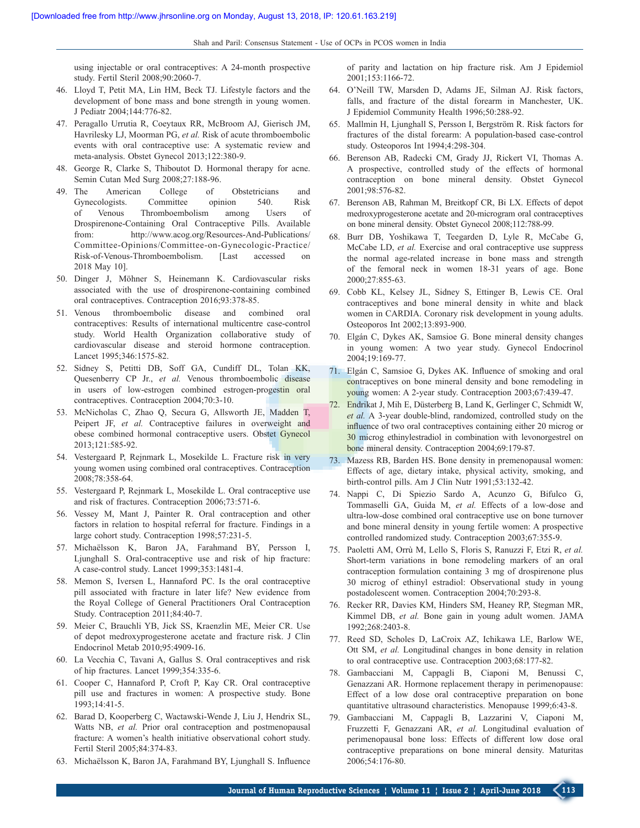using injectable or oral contraceptives: A 24‑month prospective study. Fertil Steril 2008;90:2060‑7.

- 46. Lloyd T, Petit MA, Lin HM, Beck TJ. Lifestyle factors and the development of bone mass and bone strength in young women. J Pediatr 2004;144:776‑82.
- 47. Peragallo Urrutia R, Coeytaux RR, McBroom AJ, Gierisch JM, Havrilesky LJ, Moorman PG, *et al.* Risk of acute thromboembolic events with oral contraceptive use: A systematic review and meta‑analysis. Obstet Gynecol 2013;122:380‑9.
- 48. George R, Clarke S, Thiboutot D. Hormonal therapy for acne. Semin Cutan Med Surg 2008;27:188‑96.
- 49. The American College of Obstetricians and Gynecologists. Committee opinion 540. Risk of Venous Thromboembolism among Users of Drospirenone‑Containing Oral Contraceptive Pills. Available from: http://www.acog.org/Resources-And-Publications/ Committee‑Opinions/Committee‑on‑Gynecologic‑Practice/ Risk-of-Venous-Thromboembolism. [Last accessed 2018 May 10].
- 50. Dinger J, Möhner S, Heinemann K. Cardiovascular risks associated with the use of drospirenone‑containing combined oral contraceptives. Contraception 2016;93:378‑85.
- 51. Venous thromboembolic disease and combined oral contraceptives: Results of international multicentre case‑control study. World Health Organization collaborative study of cardiovascular disease and steroid hormone contraception. Lancet 1995;346:1575‑82.
- 52. Sidney S, Petitti DB, Soff GA, Cundiff DL, Tolan KK, Quesenberry CP Jr., *et al.* Venous thromboembolic disease in users of low-estrogen combined estrogen-progestin oral contraceptives. Contraception 2004;70:3‑10.
- 53. McNicholas C, Zhao Q, Secura G, Allsworth JE, Madden T, Peipert JF, *et al.* Contraceptive failures in overweight and obese combined hormonal contraceptive users. Obstet Gynecol 2013;121:585‑92.
- 54. Vestergaard P, Rejnmark L, Mosekilde L. Fracture risk in very young women using combined oral contraceptives. Contraception 2008;78:358‑64.
- 55. Vestergaard P, Rejnmark L, Mosekilde L. Oral contraceptive use and risk of fractures. Contraception 2006;73:571‑6.
- 56. Vessey M, Mant J, Painter R. Oral contraception and other factors in relation to hospital referral for fracture. Findings in a large cohort study. Contraception 1998;57:231-5.
- 57. Michaëlsson K, Baron JA, Farahmand BY, Persson I, Ljunghall S. Oral‑contraceptive use and risk of hip fracture: A case‑control study. Lancet 1999;353:1481‑4.
- 58. Memon S, Iversen L, Hannaford PC. Is the oral contraceptive pill associated with fracture in later life? New evidence from the Royal College of General Practitioners Oral Contraception Study. Contraception 2011;84:40-7.
- 59. Meier C, Brauchli YB, Jick SS, Kraenzlin ME, Meier CR. Use of depot medroxyprogesterone acetate and fracture risk. J Clin Endocrinol Metab 2010;95:4909-16.
- 60. La Vecchia C, Tavani A, Gallus S. Oral contraceptives and risk of hip fractures. Lancet 1999;354:335‑6.
- 61. Cooper C, Hannaford P, Croft P, Kay CR. Oral contraceptive pill use and fractures in women: A prospective study. Bone 1993;14:41‑5.
- 62. Barad D, Kooperberg C, Wactawski‑Wende J, Liu J, Hendrix SL, Watts NB, *et al.* Prior oral contraception and postmenopausal fracture: A women's health initiative observational cohort study. Fertil Steril 2005;84:374‑83.
- 63. Michaëlsson K, Baron JA, Farahmand BY, Ljunghall S. Influence

of parity and lactation on hip fracture risk. Am J Epidemiol 2001;153:1166‑72.

- 64. O'Neill TW, Marsden D, Adams JE, Silman AJ. Risk factors, falls, and fracture of the distal forearm in Manchester, UK. J Epidemiol Community Health 1996;50:288‑92.
- 65. Mallmin H, Ljunghall S, Persson I, Bergström R. Risk factors for fractures of the distal forearm: A population-based case-control study. Osteoporos Int 1994;4:298‑304.
- 66. Berenson AB, Radecki CM, Grady JJ, Rickert VI, Thomas A. A prospective, controlled study of the effects of hormonal contraception on bone mineral density. Obstet Gynecol 2001;98:576‑82.
- 67. Berenson AB, Rahman M, Breitkopf CR, Bi LX. Effects of depot medroxyprogesterone acetate and 20‑microgram oral contraceptives on bone mineral density. Obstet Gynecol 2008;112:788‑99.
- 68. Burr DB, Yoshikawa T, Teegarden D, Lyle R, McCabe G, McCabe LD, *et al.* Exercise and oral contraceptive use suppress the normal age-related increase in bone mass and strength of the femoral neck in women 18‑31 years of age. Bone 2000;27:855‑63.
- 69. Cobb KL, Kelsey JL, Sidney S, Ettinger B, Lewis CE. Oral contraceptives and bone mineral density in white and black women in CARDIA. Coronary risk development in young adults. Osteoporos Int 2002;13:893‑900.
- 70. Elgán C, Dykes AK, Samsioe G. Bone mineral density changes in young women: A two year study. Gynecol Endocrinol 2004;19:169‑77.
- 71. Elgán C, Samsioe G, Dykes AK. Influence of smoking and oral contraceptives on bone mineral density and bone remodeling in young women: A 2-year study. Contraception 2003;67:439-47.
- 72. Endrikat J, Mih E, Düsterberg B, Land K, Gerlinger C, Schmidt W, *et al.* A 3‑year double‑blind, randomized, controlled study on the influence of two oral contraceptives containing either 20 microg or 30 microg ethinylestradiol in combination with levonorgestrel on bone mineral density. Contraception 2004;69:179-87.
- 73. Mazess RB, Barden HS. Bone density in premenopausal women: Effects of age, dietary intake, physical activity, smoking, and birth-control pills. Am J Clin Nutr 1991;53:132-42.
- 74. Nappi C, Di Spiezio Sardo A, Acunzo G, Bifulco G, Tommaselli GA, Guida M, *et al.* Effects of a low‑dose and ultra‑low‑dose combined oral contraceptive use on bone turnover and bone mineral density in young fertile women: A prospective controlled randomized study. Contraception 2003;67:355‑9.
- 75. Paoletti AM, Orrù M, Lello S, Floris S, Ranuzzi F, Etzi R, *et al.* Short-term variations in bone remodeling markers of an oral contraception formulation containing 3 mg of drospirenone plus 30 microg of ethinyl estradiol: Observational study in young postadolescent women. Contraception 2004;70:293-8.
- 76. Recker RR, Davies KM, Hinders SM, Heaney RP, Stegman MR, Kimmel DB, *et al.* Bone gain in young adult women. JAMA 1992;268:2403‑8.
- 77. Reed SD, Scholes D, LaCroix AZ, Ichikawa LE, Barlow WE, Ott SM, *et al.* Longitudinal changes in bone density in relation to oral contraceptive use. Contraception 2003;68:177‑82.
- 78. Gambacciani M, Cappagli B, Ciaponi M, Benussi C, Genazzani AR. Hormone replacement therapy in perimenopause: Effect of a low dose oral contraceptive preparation on bone quantitative ultrasound characteristics. Menopause 1999;6:43‑8.
- 79. Gambacciani M, Cappagli B, Lazzarini V, Ciaponi M, Fruzzetti F, Genazzani AR, *et al.* Longitudinal evaluation of perimenopausal bone loss: Effects of different low dose oral contraceptive preparations on bone mineral density. Maturitas 2006;54:176‑80.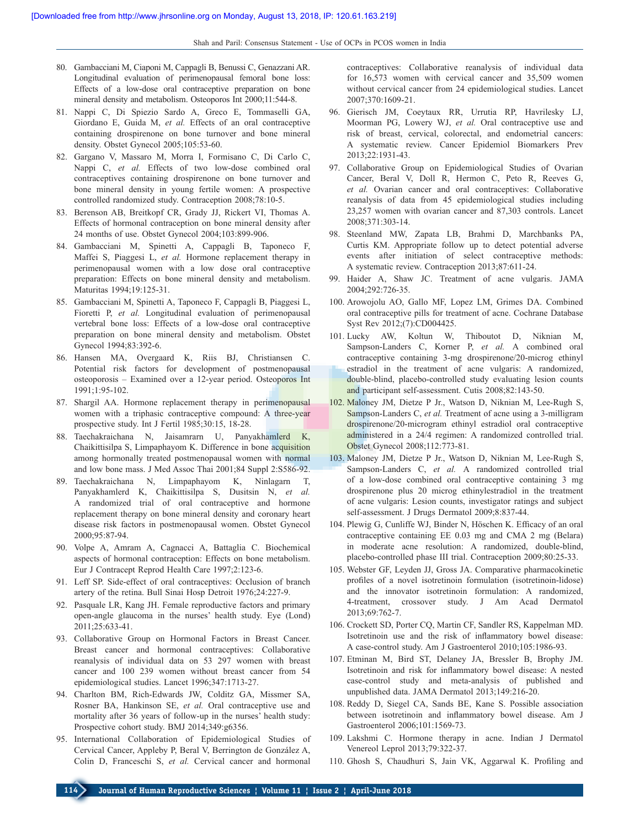- 80. Gambacciani M, Ciaponi M, Cappagli B, Benussi C, Genazzani AR. Longitudinal evaluation of perimenopausal femoral bone loss: Effects of a low‑dose oral contraceptive preparation on bone mineral density and metabolism. Osteoporos Int 2000;11:544‑8.
- 81. Nappi C, Di Spiezio Sardo A, Greco E, Tommaselli GA, Giordano E, Guida M, *et al.* Effects of an oral contraceptive containing drospirenone on bone turnover and bone mineral density. Obstet Gynecol 2005;105:53‑60.
- 82. Gargano V, Massaro M, Morra I, Formisano C, Di Carlo C, Nappi C, et al. Effects of two low-dose combined oral contraceptives containing drospirenone on bone turnover and bone mineral density in young fertile women: A prospective controlled randomized study. Contraception 2008;78:10-5.
- 83. Berenson AB, Breitkopf CR, Grady JJ, Rickert VI, Thomas A. Effects of hormonal contraception on bone mineral density after 24 months of use. Obstet Gynecol 2004;103:899‑906.
- 84. Gambacciani M, Spinetti A, Cappagli B, Taponeco F, Maffei S, Piaggesi L, *et al.* Hormone replacement therapy in perimenopausal women with a low dose oral contraceptive preparation: Effects on bone mineral density and metabolism. Maturitas 1994;19:125-31.
- 85. Gambacciani M, Spinetti A, Taponeco F, Cappagli B, Piaggesi L, Fioretti P, *et al.* Longitudinal evaluation of perimenopausal vertebral bone loss: Effects of a low‑dose oral contraceptive preparation on bone mineral density and metabolism. Obstet Gynecol 1994;83:392-6.
- 86. Hansen MA, Overgaard K, Riis BJ, Christiansen C. Potential risk factors for development of postmenopausal osteoporosis – Examined over a 12‑year period. Osteoporos Int 1991;1:95‑102.
- 87. Shargil AA. Hormone replacement therapy in perimenopausal women with a triphasic contraceptive compound: A three-year prospective study. Int J Fertil 1985;30:15, 18-28.
- 88. Taechakraichana N, Jaisamrarn U, Panyakhamlerd K, Chaikittisilpa S, Limpaphayom K. Difference in bone acquisition among hormonally treated postmenopausal women with normal and low bone mass. J Med Assoc Thai 2001;84 Suppl 2:S586‑92.
- 89. Taechakraichana N, Limpaphayom K, Ninlagarn T, Panyakhamlerd K, Chaikittisilpa S, Dusitsin N, *et al.*  A randomized trial of oral contraceptive and hormone replacement therapy on bone mineral density and coronary heart disease risk factors in postmenopausal women. Obstet Gynecol 2000;95:87‑94.
- 90. Volpe A, Amram A, Cagnacci A, Battaglia C. Biochemical aspects of hormonal contraception: Effects on bone metabolism. Eur J Contracept Reprod Health Care 1997;2:123-6.
- 91. Leff SP. Side-effect of oral contraceptives: Occlusion of branch artery of the retina. Bull Sinai Hosp Detroit 1976;24:227‑9.
- 92. Pasquale LR, Kang JH. Female reproductive factors and primary open‑angle glaucoma in the nurses' health study. Eye (Lond) 2011;25:633‑41.
- 93. Collaborative Group on Hormonal Factors in Breast Cancer. Breast cancer and hormonal contraceptives: Collaborative reanalysis of individual data on 53 297 women with breast cancer and 100 239 women without breast cancer from 54 epidemiological studies. Lancet 1996;347:1713-27.
- 94. Charlton BM, Rich‑Edwards JW, Colditz GA, Missmer SA, Rosner BA, Hankinson SE, *et al.* Oral contraceptive use and mortality after 36 years of follow-up in the nurses' health study: Prospective cohort study. BMJ 2014;349:g6356.
- 95. International Collaboration of Epidemiological Studies of Cervical Cancer, Appleby P, Beral V, Berrington de González A, Colin D, Franceschi S, *et al.* Cervical cancer and hormonal

contraceptives: Collaborative reanalysis of individual data for 16,573 women with cervical cancer and 35,509 women without cervical cancer from 24 epidemiological studies. Lancet 2007;370:1609‑21.

- 96. Gierisch JM, Coeytaux RR, Urrutia RP, Havrilesky LJ, Moorman PG, Lowery WJ, *et al.* Oral contraceptive use and risk of breast, cervical, colorectal, and endometrial cancers: A systematic review. Cancer Epidemiol Biomarkers Prev 2013;22:1931‑43.
- 97. Collaborative Group on Epidemiological Studies of Ovarian Cancer, Beral V, Doll R, Hermon C, Peto R, Reeves G, *et al.* Ovarian cancer and oral contraceptives: Collaborative reanalysis of data from 45 epidemiological studies including 23,257 women with ovarian cancer and 87,303 controls. Lancet 2008;371:303‑14.
- 98. Steenland MW, Zapata LB, Brahmi D, Marchbanks PA, Curtis KM. Appropriate follow up to detect potential adverse events after initiation of select contraceptive methods: A systematic review. Contraception 2013;87:611‑24.
- 99. Haider A, Shaw JC. Treatment of acne vulgaris. JAMA 2004;292:726‑35.
- 100. Arowojolu AO, Gallo MF, Lopez LM, Grimes DA. Combined oral contraceptive pills for treatment of acne. Cochrane Database Syst Rev 2012;(7):CD004425.
- 101. Lucky AW, Koltun W, Thiboutot D, Niknian M, Sampson-Landers C, Korner P, et al. A combined oral contraceptive containing 3‑mg drospirenone/20‑microg ethinyl estradiol in the treatment of acne vulgaris: A randomized, double-blind, placebo-controlled study evaluating lesion counts and participant self-assessment. Cutis 2008;82:143-50.
- 102. Maloney JM, Dietze P Jr., Watson D, Niknian M, Lee‑Rugh S, Sampson‑Landers C, *et al.* Treatment of acne using a 3‑milligram drospirenone/20-microgram ethinyl estradiol oral contraceptive administered in a 24/4 regimen: A randomized controlled trial. Obstet Gynecol 2008;112:773‑81.
- 103. Maloney JM, Dietze P Jr., Watson D, Niknian M, Lee‑Rugh S, Sampson-Landers C, et al. A randomized controlled trial of a low‑dose combined oral contraceptive containing 3 mg drospirenone plus 20 microg ethinylestradiol in the treatment of acne vulgaris: Lesion counts, investigator ratings and subject self-assessment. J Drugs Dermatol 2009;8:837-44.
- 104. Plewig G, Cunliffe WJ, Binder N, Höschen K. Efficacy of an oral contraceptive containing EE 0.03 mg and CMA 2 mg (Belara) in moderate acne resolution: A randomized, double-blind, placebo-controlled phase III trial. Contraception 2009;80:25-33.
- 105. Webster GF, Leyden JJ, Gross JA. Comparative pharmacokinetic profiles of a novel isotretinoin formulation (isotretinoin‑lidose) and the innovator isotretinoin formulation: A randomized, 4‑treatment, crossover study. J Am Acad Dermatol 2013;69:762‑7.
- 106. Crockett SD, Porter CQ, Martin CF, Sandler RS, Kappelman MD. Isotretinoin use and the risk of inflammatory bowel disease: A case‑control study. Am J Gastroenterol 2010;105:1986‑93.
- 107. Etminan M, Bird ST, Delaney JA, Bressler B, Brophy JM. Isotretinoin and risk for inflammatory bowel disease: A nested case‑control study and meta‑analysis of published and unpublished data. JAMA Dermatol 2013;149:216-20.
- 108. Reddy D, Siegel CA, Sands BE, Kane S. Possible association between isotretinoin and inflammatory bowel disease. Am J Gastroenterol 2006;101:1569-73.
- 109. Lakshmi C. Hormone therapy in acne. Indian J Dermatol Venereol Leprol 2013;79:322‑37.
- 110. Ghosh S, Chaudhuri S, Jain VK, Aggarwal K. Profiling and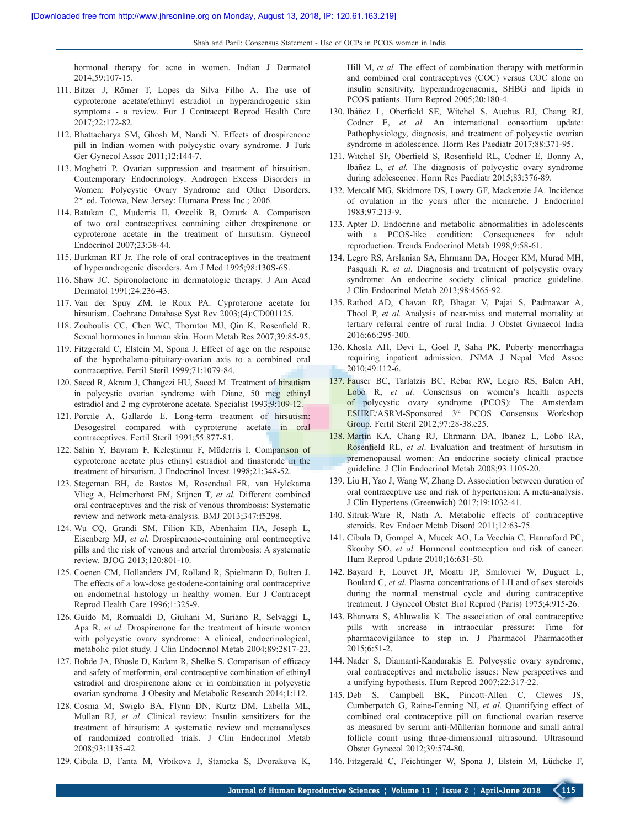hormonal therapy for acne in women. Indian J Dermatol 2014;59:107‑15.

- 111. Bitzer J, Römer T, Lopes da Silva Filho A. The use of cyproterone acetate/ethinyl estradiol in hyperandrogenic skin symptoms ‑ a review. Eur J Contracept Reprod Health Care 2017;22:172‑82.
- 112. Bhattacharya SM, Ghosh M, Nandi N. Effects of drospirenone pill in Indian women with polycystic ovary syndrome. J Turk Ger Gynecol Assoc 2011;12:144-7.
- 113. Moghetti P. Ovarian suppression and treatment of hirsuitism. Contemporary Endocrinology: Androgen Excess Disorders in Women: Polycystic Ovary Syndrome and Other Disorders. 2nd ed. Totowa, New Jersey: Humana Press Inc.; 2006.
- 114. Batukan C, Muderris II, Ozcelik B, Ozturk A. Comparison of two oral contraceptives containing either drospirenone or cyproterone acetate in the treatment of hirsutism. Gynecol Endocrinol 2007;23:38‑44.
- 115. Burkman RT Jr. The role of oral contraceptives in the treatment of hyperandrogenic disorders. Am J Med 1995;98:130S‑6S.
- 116. Shaw JC. Spironolactone in dermatologic therapy. J Am Acad Dermatol 1991;24:236‑43.
- 117. Van der Spuy ZM, le Roux PA. Cyproterone acetate for hirsutism. Cochrane Database Syst Rev 2003;(4):CD001125.
- 118. Zouboulis CC, Chen WC, Thornton MJ, Qin K, Rosenfield R. Sexual hormones in human skin. Horm Metab Res 2007;39:85‑95.
- 119. Fitzgerald C, Elstein M, Spona J. Effect of age on the response of the hypothalamo‑pituitary‑ovarian axis to a combined oral contraceptive. Fertil Steril 1999;71:1079-84.
- 120. Saeed R, Akram J, Changezi HU, Saeed M. Treatment of hirsutism in polycystic ovarian syndrome with Diane, 50 mcg ethinyl estradiol and 2 mg cyproterone acetate. Specialist 1993;9:109-12.
- 121. Porcile A, Gallardo E. Long-term treatment of hirsutism: Desogestrel compared with cyproterone acetate in oral contraceptives. Fertil Steril 1991;55:877‑81.
- 122. Sahin Y, Bayram F, Keleştimur F, Müderris I. Comparison of cyproterone acetate plus ethinyl estradiol and finasteride in the treatment of hirsutism. J Endocrinol Invest 1998;21:348-52.
- 123. Stegeman BH, de Bastos M, Rosendaal FR, van Hylckama Vlieg A, Helmerhorst FM, Stijnen T, *et al.* Different combined oral contraceptives and the risk of venous thrombosis: Systematic review and network meta‑analysis. BMJ 2013;347:f5298.
- 124. Wu CQ, Grandi SM, Filion KB, Abenhaim HA, Joseph L, Eisenberg MJ, *et al.* Drospirenone‑containing oral contraceptive pills and the risk of venous and arterial thrombosis: A systematic review. BJOG 2013;120:801‑10.
- 125. Coenen CM, Hollanders JM, Rolland R, Spielmann D, Bulten J. The effects of a low‑dose gestodene‑containing oral contraceptive on endometrial histology in healthy women. Eur J Contracept Reprod Health Care 1996;1:325‑9.
- 126. Guido M, Romualdi D, Giuliani M, Suriano R, Selvaggi L, Apa R, *et al.* Drospirenone for the treatment of hirsute women with polycystic ovary syndrome: A clinical, endocrinological, metabolic pilot study. J Clin Endocrinol Metab 2004;89:2817‑23.
- 127. Bobde JA, Bhosle D, Kadam R, Shelke S. Comparison of efficacy and safety of metformin, oral contraceptive combination of ethinyl estradiol and drospirenone alone or in combination in polycystic ovarian syndrome. J Obesity and Metabolic Research 2014;1:112.
- 128. Cosma M, Swiglo BA, Flynn DN, Kurtz DM, Labella ML, Mullan RJ, *et al*. Clinical review: Insulin sensitizers for the treatment of hirsutism: A systematic review and metaanalyses of randomized controlled trials. J Clin Endocrinol Metab 2008;93:1135‑42.
- 129. Cibula D, Fanta M, Vrbikova J, Stanicka S, Dvorakova K,

Hill M, *et al.* The effect of combination therapy with metformin and combined oral contraceptives (COC) versus COC alone on insulin sensitivity, hyperandrogenaemia, SHBG and lipids in PCOS patients. Hum Reprod 2005;20:180-4.

- 130. Ibáñez L, Oberfield SE, Witchel S, Auchus RJ, Chang RJ, Codner E, *et al.* An international consortium update: Pathophysiology, diagnosis, and treatment of polycystic ovarian syndrome in adolescence. Horm Res Paediatr 2017;88:371‑95.
- 131. Witchel SF, Oberfield S, Rosenfield RL, Codner E, Bonny A, Ibáñez L, *et al.* The diagnosis of polycystic ovary syndrome during adolescence. Horm Res Paediatr 2015;83:376-89.
- 132. Metcalf MG, Skidmore DS, Lowry GF, Mackenzie JA. Incidence of ovulation in the years after the menarche. J Endocrinol 1983;97:213‑9.
- 133. Apter D. Endocrine and metabolic abnormalities in adolescents with a PCOS-like condition: Consequences for adult reproduction. Trends Endocrinol Metab 1998;9:58‑61.
- 134. Legro RS, Arslanian SA, Ehrmann DA, Hoeger KM, Murad MH, Pasquali R, *et al.* Diagnosis and treatment of polycystic ovary syndrome: An endocrine society clinical practice guideline. J Clin Endocrinol Metab 2013;98:4565‑92.
- 135. Rathod AD, Chavan RP, Bhagat V, Pajai S, Padmawar A, Thool P, et al. Analysis of near-miss and maternal mortality at tertiary referral centre of rural India. J Obstet Gynaecol India 2016;66:295‑300.
- 136. Khosla AH, Devi L, Goel P, Saha PK. Puberty menorrhagia requiring inpatient admission. JNMA J Nepal Med Assoc 2010;49:112‑6.
- 137. Fauser BC, Tarlatzis BC, Rebar RW, Legro RS, Balen AH, Lobo R, *et al.* Consensus on women's health aspects of polycystic ovary syndrome (PCOS): The Amsterdam ESHRE/ASRM‑Sponsored 3rd PCOS Consensus Workshop Group. Fertil Steril 2012;97:28‑38.e25.
- 138. Martin KA, Chang RJ, Ehrmann DA, Ibanez L, Lobo RA, Rosenfield RL, *et al*. Evaluation and treatment of hirsutism in premenopausal women: An endocrine society clinical practice guideline. J Clin Endocrinol Metab 2008;93:1105‑20.
- 139. Liu H, Yao J, Wang W, Zhang D. Association between duration of oral contraceptive use and risk of hypertension: A meta-analysis. J Clin Hypertens (Greenwich) 2017;19:1032‑41.
- 140. Sitruk‑Ware R, Nath A. Metabolic effects of contraceptive steroids. Rev Endocr Metab Disord 2011;12:63-75.
- 141. Cibula D, Gompel A, Mueck AO, La Vecchia C, Hannaford PC, Skouby SO, *et al.* Hormonal contraception and risk of cancer. Hum Reprod Update 2010;16:631‑50.
- 142. Bayard F, Louvet JP, Moatti JP, Smilovici W, Duguet L, Boulard C, *et al.* Plasma concentrations of LH and of sex steroids during the normal menstrual cycle and during contraceptive treatment. J Gynecol Obstet Biol Reprod (Paris) 1975;4:915-26.
- 143. Bhanwra S, Ahluwalia K. The association of oral contraceptive pills with increase in intraocular pressure: Time for pharmacovigilance to step in. J Pharmacol Pharmacother 2015;6:51‑2.
- 144. Nader S, Diamanti‑Kandarakis E. Polycystic ovary syndrome, oral contraceptives and metabolic issues: New perspectives and a unifying hypothesis. Hum Reprod 2007;22:317‑22.
- 145. Deb S, Campbell BK, Pincott-Allen C, Clewes JS, Cumberpatch G, Raine‑Fenning NJ, *et al.* Quantifying effect of combined oral contraceptive pill on functional ovarian reserve as measured by serum anti‑Müllerian hormone and small antral follicle count using three-dimensional ultrasound. Ultrasound Obstet Gynecol 2012;39:574‑80.
- 146. Fitzgerald C, Feichtinger W, Spona J, Elstein M, Lüdicke F,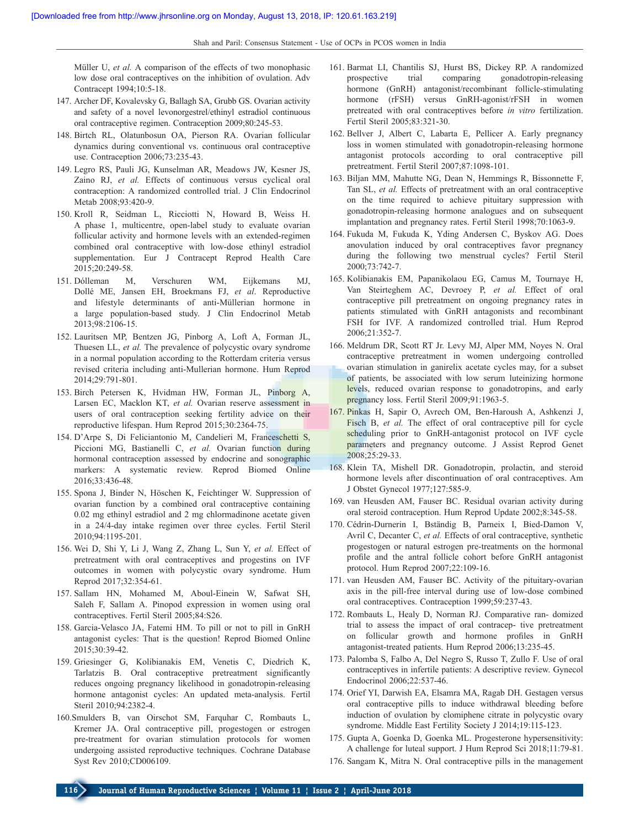Müller U, *et al.* A comparison of the effects of two monophasic low dose oral contraceptives on the inhibition of ovulation. Adv Contracept 1994;10:5-18.

- 147. Archer DF, Kovalevsky G, Ballagh SA, Grubb GS. Ovarian activity and safety of a novel levonorgestrel/ethinyl estradiol continuous oral contraceptive regimen. Contraception 2009;80:245‑53.
- 148. Birtch RL, Olatunbosun OA, Pierson RA. Ovarian follicular dynamics during conventional vs. continuous oral contraceptive use. Contraception 2006;73:235-43.
- 149. Legro RS, Pauli JG, Kunselman AR, Meadows JW, Kesner JS, Zaino RJ, *et al.* Effects of continuous versus cyclical oral contraception: A randomized controlled trial. J Clin Endocrinol Metab 2008;93:420-9.
- 150. Kroll R, Seidman L, Ricciotti N, Howard B, Weiss H. A phase 1, multicentre, open-label study to evaluate ovarian follicular activity and hormone levels with an extended-regimen combined oral contraceptive with low‑dose ethinyl estradiol supplementation. Eur J Contracept Reprod Health Care 2015;20:249‑58.
- 151. Dólleman M, Verschuren WM, Eijkemans MJ, Dollé ME, Jansen EH, Broekmans FJ, *et al*. Reproductive and lifestyle determinants of anti‑Müllerian hormone in a large population-based study. J Clin Endocrinol Metab 2013;98:2106‑15.
- 152. Lauritsen MP, Bentzen JG, Pinborg A, Loft A, Forman JL, Thuesen LL, *et al.* The prevalence of polycystic ovary syndrome in a normal population according to the Rotterdam criteria versus revised criteria including anti‑Mullerian hormone. Hum Reprod 2014;29:791‑801.
- 153. Birch Petersen K, Hvidman HW, Forman JL, Pinborg A, Larsen EC, Macklon KT, *et al.* Ovarian reserve assessment in users of oral contraception seeking fertility advice on their reproductive lifespan. Hum Reprod 2015;30:2364‑75.
- 154. D'Arpe S, Di Feliciantonio M, Candelieri M, Franceschetti S, Piccioni MG, Bastianelli C, *et al.* Ovarian function during hormonal contraception assessed by endocrine and sonographic markers: A systematic review. Reprod Biomed Online 2016;33:436‑48.
- 155. Spona J, Binder N, Höschen K, Feichtinger W. Suppression of ovarian function by a combined oral contraceptive containing 0.02 mg ethinyl estradiol and 2 mg chlormadinone acetate given in a 24/4‑day intake regimen over three cycles. Fertil Steril 2010;94:1195‑201.
- 156. Wei D, Shi Y, Li J, Wang Z, Zhang L, Sun Y, *et al.* Effect of pretreatment with oral contraceptives and progestins on IVF outcomes in women with polycystic ovary syndrome. Hum Reprod 2017;32:354‑61.
- 157. Sallam HN, Mohamed M, Aboul‑Einein W, Safwat SH, Saleh F, Sallam A. Pinopod expression in women using oral contraceptives. Fertil Steril 2005;84:S26.
- 158. Garcia‑Velasco JA, Fatemi HM. To pill or not to pill in GnRH antagonist cycles: That is the question! Reprod Biomed Online 2015;30:39‑42.
- 159. Griesinger G, Kolibianakis EM, Venetis C, Diedrich K, Tarlatzis B. Oral contraceptive pretreatment significantly reduces ongoing pregnancy likelihood in gonadotropin‑releasing hormone antagonist cycles: An updated meta-analysis. Fertil Steril 2010;94:2382-4.
- 160.Smulders B, van Oirschot SM, Farquhar C, Rombauts L, Kremer JA. Oral contraceptive pill, progestogen or estrogen pre-treatment for ovarian stimulation protocols for women undergoing assisted reproductive techniques. Cochrane Database Syst Rev 2010;CD006109.
- 161. Barmat LI, Chantilis SJ, Hurst BS, Dickey RP. A randomized prospective trial comparing gonadotropin‑releasing hormone (GnRH) antagonist/recombinant follicle-stimulating hormone (rFSH) versus GnRH-agonist/rFSH in women pretreated with oral contraceptives before *in vitro* fertilization. Fertil Steril 2005;83:321‑30.
- 162. Bellver J, Albert C, Labarta E, Pellicer A. Early pregnancy loss in women stimulated with gonadotropin-releasing hormone antagonist protocols according to oral contraceptive pill pretreatment. Fertil Steril 2007;87:1098-101.
- 163. Biljan MM, Mahutte NG, Dean N, Hemmings R, Bissonnette F, Tan SL, *et al.* Effects of pretreatment with an oral contraceptive on the time required to achieve pituitary suppression with gonadotropin‑releasing hormone analogues and on subsequent implantation and pregnancy rates. Fertil Steril 1998;70:1063-9.
- 164. Fukuda M, Fukuda K, Yding Andersen C, Byskov AG. Does anovulation induced by oral contraceptives favor pregnancy during the following two menstrual cycles? Fertil Steril 2000;73:742‑7.
- 165. Kolibianakis EM, Papanikolaou EG, Camus M, Tournaye H, Van Steirteghem AC, Devroey P, *et al.* Effect of oral contraceptive pill pretreatment on ongoing pregnancy rates in patients stimulated with GnRH antagonists and recombinant FSH for IVF. A randomized controlled trial. Hum Reprod 2006;21:352‑7.
- 166. Meldrum DR, Scott RT Jr. Levy MJ, Alper MM, Noyes N. Oral contraceptive pretreatment in women undergoing controlled ovarian stimulation in ganirelix acetate cycles may, for a subset of patients, be associated with low serum luteinizing hormone levels, reduced ovarian response to gonadotropins, and early pregnancy loss. Fertil Steril 2009;91:1963-5.
- 167. Pinkas H, Sapir O, Avrech OM, Ben‑Haroush A, Ashkenzi J, Fisch B, *et al.* The effect of oral contraceptive pill for cycle scheduling prior to GnRH-antagonist protocol on IVF cycle parameters and pregnancy outcome. J Assist Reprod Genet 2008;25:29‑33.
- 168. Klein TA, Mishell DR. Gonadotropin, prolactin, and steroid hormone levels after discontinuation of oral contraceptives. Am J Obstet Gynecol 1977;127:585‑9.
- 169. van Heusden AM, Fauser BC. Residual ovarian activity during oral steroid contraception. Hum Reprod Update 2002;8:345‑58.
- 170. Cédrin‑Durnerin I, Bständig B, Parneix I, Bied‑Damon V, Avril C, Decanter C, *et al.* Effects of oral contraceptive, synthetic progestogen or natural estrogen pre‑treatments on the hormonal profile and the antral follicle cohort before GnRH antagonist protocol. Hum Reprod 2007;22:109-16.
- 171. van Heusden AM, Fauser BC. Activity of the pituitary-ovarian axis in the pill-free interval during use of low-dose combined oral contraceptives. Contraception 1999;59:237-43.
- 172. Rombauts L, Healy D, Norman RJ. Comparative ran‑ domized trial to assess the impact of oral contracep‑ tive pretreatment on follicular growth and hormone profiles in GnRH antagonist‑treated patients. Hum Reprod 2006;13:235‑45.
- 173. Palomba S, Falbo A, Del Negro S, Russo T, Zullo F. Use of oral contraceptives in infertile patients: A descriptive review. Gynecol Endocrinol 2006;22:537-46.
- 174. Orief YI, Darwish EA, Elsamra MA, Ragab DH. Gestagen versus oral contraceptive pills to induce withdrawal bleeding before induction of ovulation by clomiphene citrate in polycystic ovary syndrome. Middle East Fertility Society J 2014;19:115-123.
- 175. Gupta A, Goenka D, Goenka ML. Progesterone hypersensitivity: A challenge for luteal support. J Hum Reprod Sci 2018;11:79‑81.
- 176. Sangam K, Mitra N. Oral contraceptive pills in the management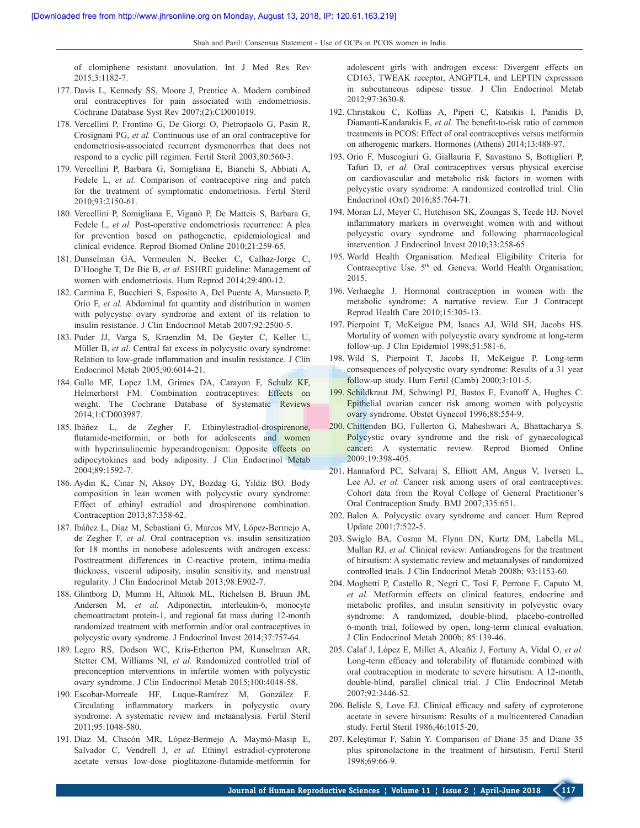of clomiphene resistant anovulation. Int J Med Res Rev 2015;3:1182-7.

- 177. Davis L, Kennedy SS, Moore J, Prentice A. Modern combined oral contraceptives for pain associated with endometriosis. Cochrane Database Syst Rev 2007;(2):CD001019.
- 178. Vercellini P, Frontino G, De Giorgi O, Pietropaolo G, Pasin R, Crosignani PG, *et al.* Continuous use of an oral contraceptive for endometriosis‑associated recurrent dysmenorrhea that does not respond to a cyclic pill regimen. Fertil Steril 2003;80:560-3.
- 179. Vercellini P, Barbara G, Somigliana E, Bianchi S, Abbiati A, Fedele L, *et al.* Comparison of contraceptive ring and patch for the treatment of symptomatic endometriosis. Fertil Steril 2010;93:2150‑61.
- 180. Vercellini P, Somigliana E, Viganò P, De Matteis S, Barbara G, Fedele L, et al. Post-operative endometriosis recurrence: A plea for prevention based on pathogenetic, epidemiological and clinical evidence. Reprod Biomed Online 2010;21:259-65.
- 181. Dunselman GA, Vermeulen N, Becker C, Calhaz‑Jorge C, D'Hooghe T, De Bie B, *et al.* ESHRE guideline: Management of women with endometriosis. Hum Reprod 2014;29:400-12.
- 182. Carmina E, Bucchieri S, Esposito A, Del Puente A, Mansueto P, Orio F, *et al.* Abdominal fat quantity and distribution in women with polycystic ovary syndrome and extent of its relation to insulin resistance. J Clin Endocrinol Metab 2007;92:2500‑5.
- 183. Puder JJ, Varga S, Kraenzlin M, De Geyter C, Keller U, Müller B, *et al*. Central fat excess in polycystic ovary syndrome: Relation to low‑grade inflammation and insulin resistance. J Clin Endocrinol Metab 2005;90:6014‑21.
- 184. Gallo MF, Lopez LM, Grimes DA, Carayon F, Schulz KF, Helmerhorst FM. Combination contraceptives: Effects on weight. The Cochrane Database of Systematic Reviews 2014;1:CD003987.
- 185. Ibáñez L, de Zegher F. Ethinylestradiol-drospirenone, flutamide-metformin, or both for adolescents and women with hyperinsulinemic hyperandrogenism: Opposite effects on adipocytokines and body adiposity. J Clin Endocrinol Metab 2004;89:1592‑7.
- 186. Aydin K, Cinar N, Aksoy DY, Bozdag G, Yildiz BO. Body composition in lean women with polycystic ovary syndrome: Effect of ethinyl estradiol and drospirenone combination. Contraception 2013;87:358‑62.
- 187. Ibáñez L, Díaz M, Sebastiani G, Marcos MV, López‑Bermejo A, de Zegher F, *et al.* Oral contraception vs. insulin sensitization for 18 months in nonobese adolescents with androgen excess: Posttreatment differences in C-reactive protein, intima-media thickness, visceral adiposity, insulin sensitivity, and menstrual regularity. J Clin Endocrinol Metab 2013;98:E902‑7.
- 188. Glintborg D, Mumm H, Altinok ML, Richelsen B, Bruun JM, Andersen M, *et al.* Adiponectin, interleukin-6, monocyte chemoattractant protein‑1, and regional fat mass during 12‑month randomized treatment with metformin and/or oral contraceptives in polycystic ovary syndrome. J Endocrinol Invest 2014;37:757‑64.
- 189. Legro RS, Dodson WC, Kris‑Etherton PM, Kunselman AR, Stetter CM, Williams NI, *et al.* Randomized controlled trial of preconception interventions in infertile women with polycystic ovary syndrome. J Clin Endocrinol Metab 2015;100:4048-58.
- 190. Escobar‑Morreale HF, Luque‑Ramírez M, González F. Circulating inflammatory markers in polycystic ovary syndrome: A systematic review and metaanalysis. Fertil Steril 2011;95:1048‑580.
- 191. Díaz M, Chacón MR, López‑Bermejo A, Maymó‑Masip E, Salvador C, Vendrell J, et al. Ethinyl estradiol-cyproterone acetate versus low‑dose pioglitazone‑flutamide‑metformin for

adolescent girls with androgen excess: Divergent effects on CD163, TWEAK receptor, ANGPTL4, and LEPTIN expression in subcutaneous adipose tissue. J Clin Endocrinol Metab 2012;97:3630‑8.

- 192. Christakou C, Kollias A, Piperi C, Katsikis I, Panidis D, Diamanti-Kandarakis E, et al. The benefit-to-risk ratio of common treatments in PCOS: Effect of oral contraceptives versus metformin on atherogenic markers. Hormones (Athens) 2014;13:488‑97.
- 193. Orio F, Muscogiuri G, Giallauria F, Savastano S, Bottiglieri P, Tafuri D, *et al.* Oral contraceptives versus physical exercise on cardiovascular and metabolic risk factors in women with polycystic ovary syndrome: A randomized controlled trial. Clin Endocrinol (Oxf) 2016;85:764‑71.
- 194. Moran LJ, Meyer C, Hutchison SK, Zoungas S, Teede HJ. Novel inflammatory markers in overweight women with and without polycystic ovary syndrome and following pharmacological intervention. J Endocrinol Invest 2010;33:258‑65.
- 195. World Health Organisation. Medical Eligibility Criteria for Contraceptive Use. 5<sup>th</sup> ed. Geneva: World Health Organisation; 2015.
- 196. Verhaeghe J. Hormonal contraception in women with the metabolic syndrome: A narrative review. Eur J Contracept Reprod Health Care 2010;15:305‑13.
- 197. Pierpoint T, McKeigue PM, Isaacs AJ, Wild SH, Jacobs HS. Mortality of women with polycystic ovary syndrome at long-term follow-up. J Clin Epidemiol 1998;51:581-6.
- 198. Wild S, Pierpoint T, Jacobs H, McKeigue P. Long‑term consequences of polycystic ovary syndrome: Results of a 31 year follow-up study. Hum Fertil (Camb) 2000;3:101-5.
- 199. Schildkraut JM, Schwingl PJ, Bastos E, Evanoff A, Hughes C. Epithelial ovarian cancer risk among women with polycystic ovary syndrome. Obstet Gynecol 1996;88:554‑9.
- 200. Chittenden BG, Fullerton G, Maheshwari A, Bhattacharya S. Polycystic ovary syndrome and the risk of gynaecological cancer: A systematic review. Reprod Biomed Online 2009;19:398‑405.
- 201. Hannaford PC, Selvaraj S, Elliott AM, Angus V, Iversen L, Lee AJ, *et al.* Cancer risk among users of oral contraceptives: Cohort data from the Royal College of General Practitioner's Oral Contraception Study. BMJ 2007;335:651.
- 202. Balen A. Polycystic ovary syndrome and cancer. Hum Reprod Update 2001;7:522‑5.
- 203. Swiglo BA, Cosma M, Flynn DN, Kurtz DM, Labella ML, Mullan RJ, *et al.* Clinical review: Antiandrogens for the treatment of hirsutism: A systematic review and metaanalyses of randomized controlled trials. J Clin Endocrinol Metab 2008b; 93:1153‑60.
- 204. Moghetti P, Castello R, Negri C, Tosi F, Perrone F, Caputo M, *et al.* Metformin effects on clinical features, endocrine and metabolic profiles, and insulin sensitivity in polycystic ovary syndrome: A randomized, double-blind, placebo-controlled 6‑month trial, followed by open, long‑term clinical evaluation. J Clin Endocrinol Metab 2000b; 85:139‑46.
- 205. Calaf J, López E, Millet A, Alcañiz J, Fortuny A, Vidal O, *et al.* Long-term efficacy and tolerability of flutamide combined with oral contraception in moderate to severe hirsutism: A 12‑month, double‑blind, parallel clinical trial. J Clin Endocrinol Metab 2007;92:3446‑52.
- 206. Belisle S, Love EJ. Clinical efficacy and safety of cyproterone acetate in severe hirsutism: Results of a multicentered Canadian study. Fertil Steril 1986;46:1015‑20.
- 207. Keleştimur F, Sahin Y. Comparison of Diane 35 and Diane 35 plus spironolactone in the treatment of hirsutism. Fertil Steril 1998;69:66‑9.